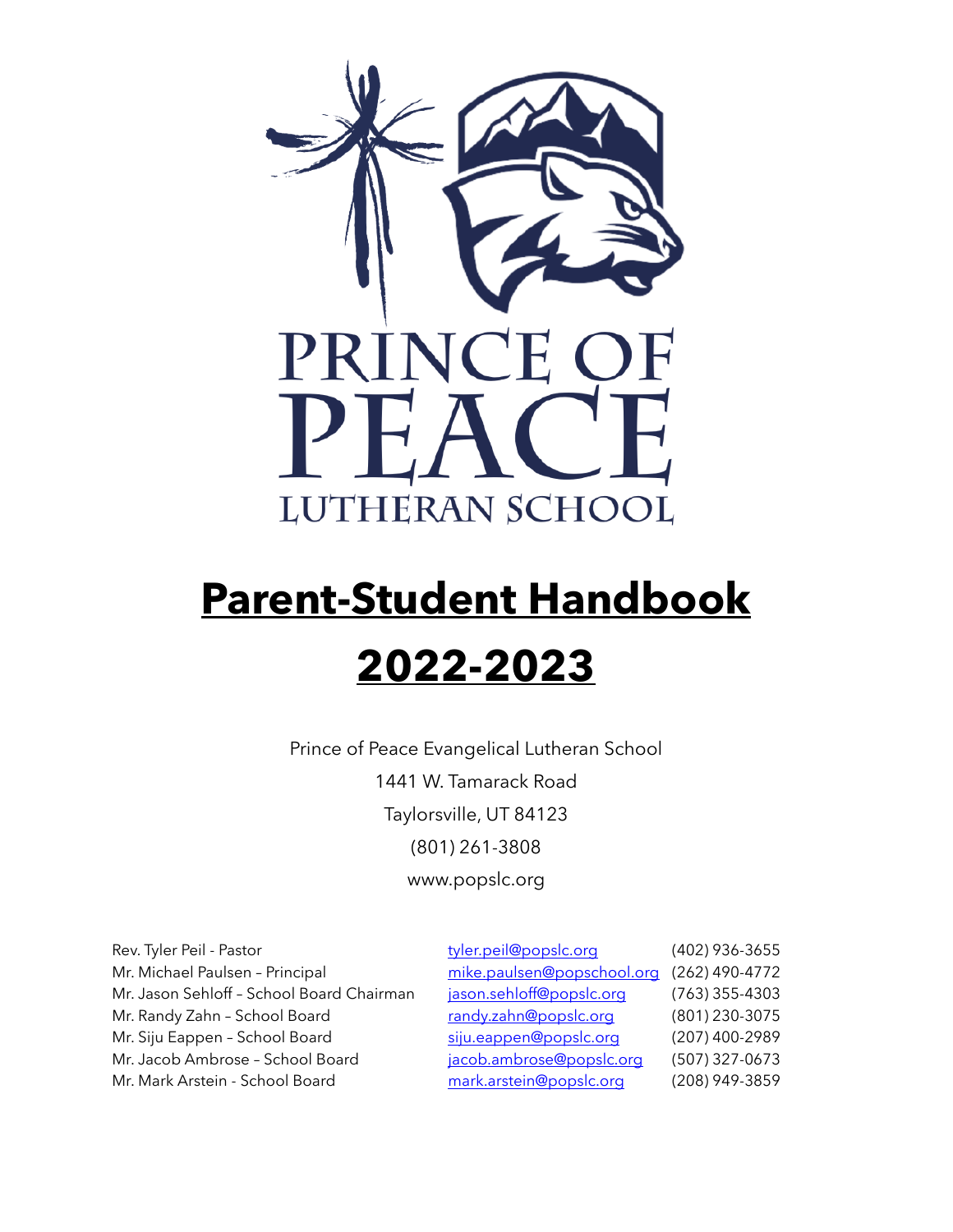

# **Parent-Student Handbook 2022-2023**

Prince of Peace Evangelical Lutheran School 1441 W. Tamarack Road Taylorsville, UT 84123 (801) 261-3808 www.popslc.org

| Rev. Tyler Peil - Pastor                  | tyler.peil@popslc.org      | (402) 936-3655   |
|-------------------------------------------|----------------------------|------------------|
| Mr. Michael Paulsen - Principal           | mike.paulsen@popschool.org | (262) 490-4772   |
| Mr. Jason Sehloff - School Board Chairman | jason.sehloff@popslc.org   | $(763)$ 355-4303 |
| Mr. Randy Zahn - School Board             | randy.zahn@popslc.org      | (801) 230-3075   |
| Mr. Siju Eappen - School Board            | siju.eappen@popslc.org     | (207) 400-2989   |
| Mr. Jacob Ambrose - School Board          | jacob.ambrose@popslc.org   | (507) 327-0673   |
| Mr. Mark Arstein - School Board           | mark.arstein@popslc.org    | (208) 949-3859   |
|                                           |                            |                  |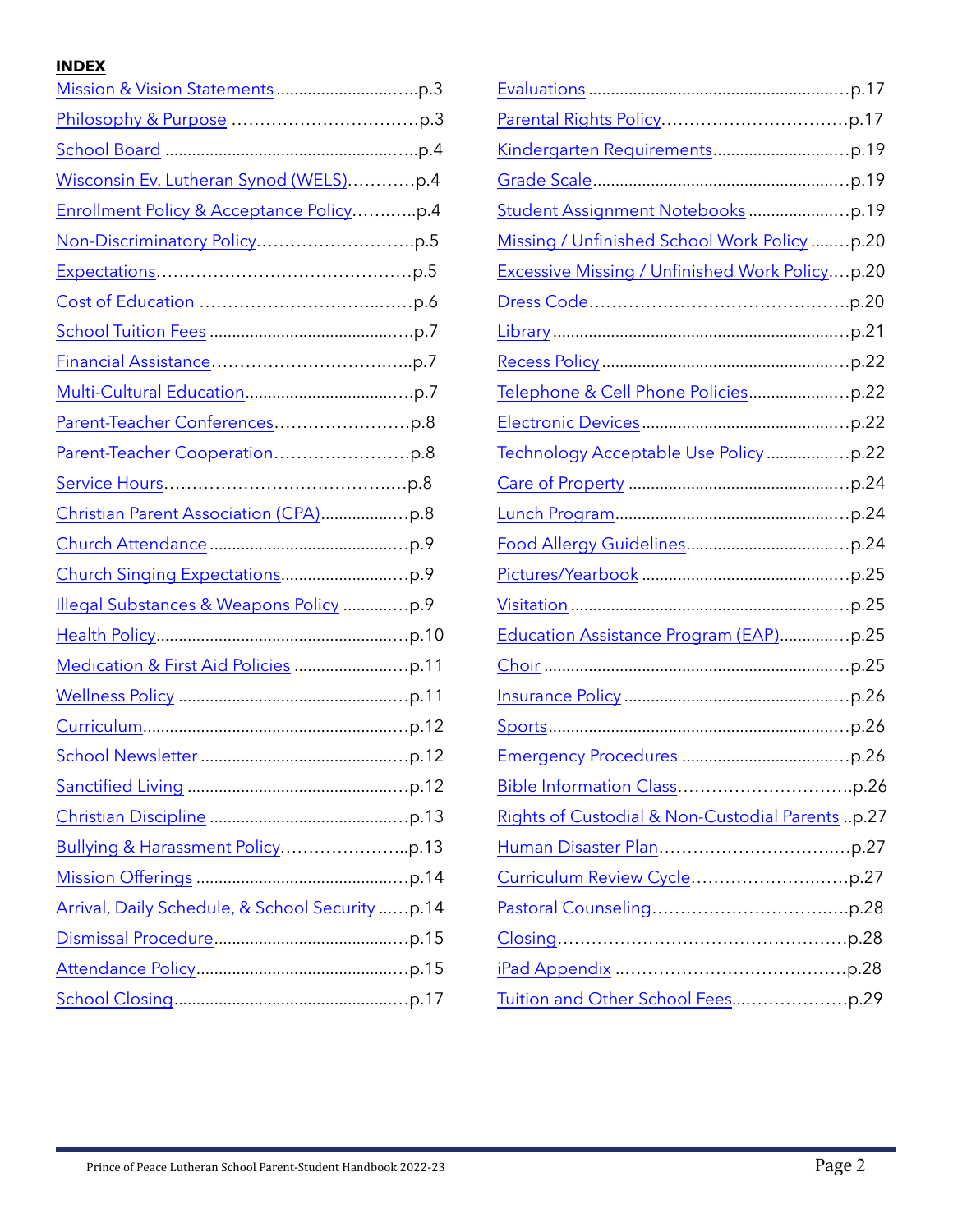# **INDEX**

| Wisconsin Ev. Lutheran Synod (WELS)p.4          |  |
|-------------------------------------------------|--|
| Enrollment Policy & Acceptance Policyp.4        |  |
|                                                 |  |
|                                                 |  |
|                                                 |  |
|                                                 |  |
|                                                 |  |
|                                                 |  |
|                                                 |  |
|                                                 |  |
|                                                 |  |
|                                                 |  |
|                                                 |  |
|                                                 |  |
| Illegal Substances & Weapons Policy p.9         |  |
|                                                 |  |
|                                                 |  |
|                                                 |  |
|                                                 |  |
|                                                 |  |
|                                                 |  |
|                                                 |  |
|                                                 |  |
|                                                 |  |
| Arrival, Daily Schedule, & School Security p.14 |  |
|                                                 |  |
|                                                 |  |
|                                                 |  |
|                                                 |  |

| Missing / Unfinished School Work Policy p.20          |
|-------------------------------------------------------|
| <b>Excessive Missing / Unfinished Work Policyp.20</b> |
|                                                       |
|                                                       |
|                                                       |
|                                                       |
|                                                       |
|                                                       |
|                                                       |
|                                                       |
|                                                       |
|                                                       |
|                                                       |
| Education Assistance Program (EAP)p.25                |
|                                                       |
|                                                       |
|                                                       |
|                                                       |
|                                                       |
| Rights of Custodial & Non-Custodial Parents p.27      |
|                                                       |
|                                                       |
|                                                       |
|                                                       |
|                                                       |
|                                                       |
|                                                       |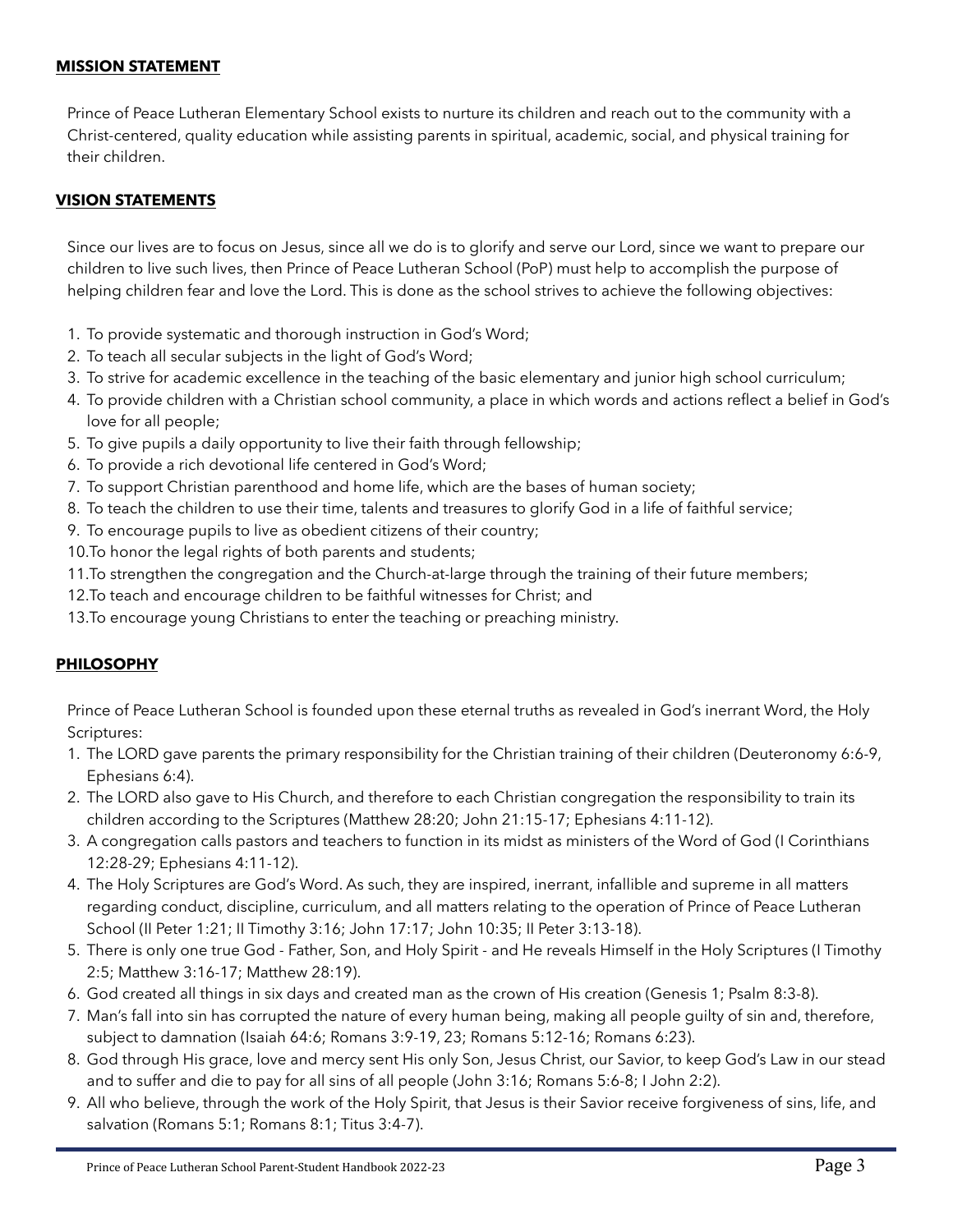#### <span id="page-2-0"></span>**MISSION STATEMENT**

Prince of Peace Lutheran Elementary School exists to nurture its children and reach out to the community with a Christ-centered, quality education while assisting parents in spiritual, academic, social, and physical training for their children.

#### **VISION STATEMENTS**

Since our lives are to focus on Jesus, since all we do is to glorify and serve our Lord, since we want to prepare our children to live such lives, then Prince of Peace Lutheran School (PoP) must help to accomplish the purpose of helping children fear and love the Lord. This is done as the school strives to achieve the following objectives:

- 1. To provide systematic and thorough instruction in God's Word;
- 2. To teach all secular subjects in the light of God's Word;
- 3. To strive for academic excellence in the teaching of the basic elementary and junior high school curriculum;
- 4. To provide children with a Christian school community, a place in which words and actions reflect a belief in God's love for all people;
- 5. To give pupils a daily opportunity to live their faith through fellowship;
- 6. To provide a rich devotional life centered in God's Word;
- 7. To support Christian parenthood and home life, which are the bases of human society;
- 8. To teach the children to use their time, talents and treasures to glorify God in a life of faithful service;
- 9. To encourage pupils to live as obedient citizens of their country;
- 10.To honor the legal rights of both parents and students;
- 11.To strengthen the congregation and the Church-at-large through the training of their future members;
- 12.To teach and encourage children to be faithful witnesses for Christ; and
- 13.To encourage young Christians to enter the teaching or preaching ministry.

#### <span id="page-2-1"></span>**PHILOSOPHY**

Prince of Peace Lutheran School is founded upon these eternal truths as revealed in God's inerrant Word, the Holy Scriptures:

- 1. The LORD gave parents the primary responsibility for the Christian training of their children (Deuteronomy 6:6-9, Ephesians 6:4).
- 2. The LORD also gave to His Church, and therefore to each Christian congregation the responsibility to train its children according to the Scriptures (Matthew 28:20; John 21:15-17; Ephesians 4:11-12).
- 3. A congregation calls pastors and teachers to function in its midst as ministers of the Word of God (I Corinthians 12:28-29; Ephesians 4:11-12).
- 4. The Holy Scriptures are God's Word. As such, they are inspired, inerrant, infallible and supreme in all matters regarding conduct, discipline, curriculum, and all matters relating to the operation of Prince of Peace Lutheran School (II Peter 1:21; II Timothy 3:16; John 17:17; John 10:35; II Peter 3:13-18).
- 5. There is only one true God Father, Son, and Holy Spirit and He reveals Himself in the Holy Scriptures (I Timothy 2:5; Matthew 3:16-17; Matthew 28:19).
- 6. God created all things in six days and created man as the crown of His creation (Genesis 1; Psalm 8:3-8).
- 7. Man's fall into sin has corrupted the nature of every human being, making all people guilty of sin and, therefore, subject to damnation (Isaiah 64:6; Romans 3:9-19, 23; Romans 5:12-16; Romans 6:23).
- 8. God through His grace, love and mercy sent His only Son, Jesus Christ, our Savior, to keep God's Law in our stead and to suffer and die to pay for all sins of all people (John 3:16; Romans 5:6-8; I John 2:2).
- 9. All who believe, through the work of the Holy Spirit, that Jesus is their Savior receive forgiveness of sins, life, and salvation (Romans 5:1; Romans 8:1; Titus 3:4-7).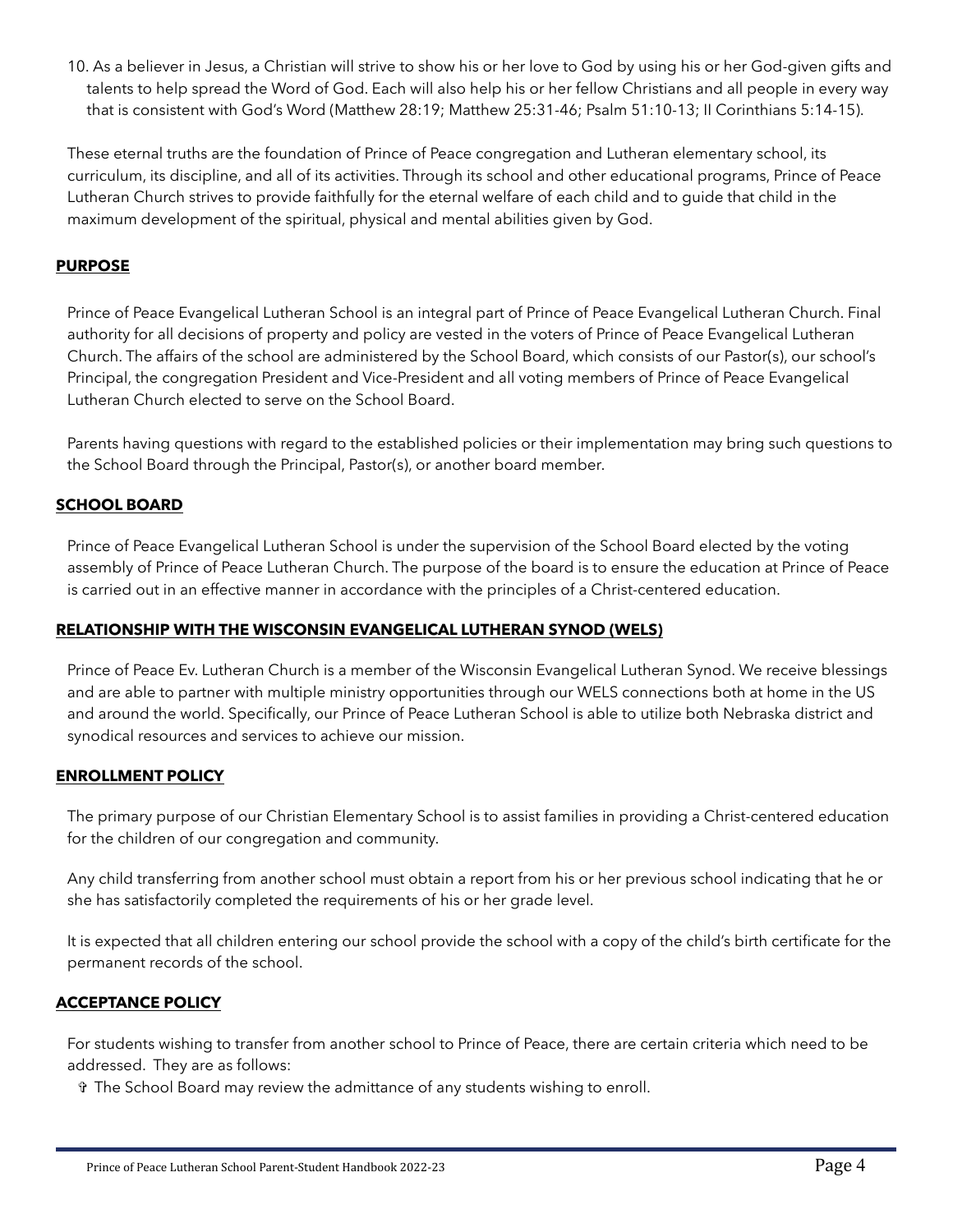10. As a believer in Jesus, a Christian will strive to show his or her love to God by using his or her God-given gifts and talents to help spread the Word of God. Each will also help his or her fellow Christians and all people in every way that is consistent with God's Word (Matthew 28:19; Matthew 25:31-46; Psalm 51:10-13; II Corinthians 5:14-15).

These eternal truths are the foundation of Prince of Peace congregation and Lutheran elementary school, its curriculum, its discipline, and all of its activities. Through its school and other educational programs, Prince of Peace Lutheran Church strives to provide faithfully for the eternal welfare of each child and to guide that child in the maximum development of the spiritual, physical and mental abilities given by God.

# **PURPOSE**

Prince of Peace Evangelical Lutheran School is an integral part of Prince of Peace Evangelical Lutheran Church. Final authority for all decisions of property and policy are vested in the voters of Prince of Peace Evangelical Lutheran Church. The affairs of the school are administered by the School Board, which consists of our Pastor(s), our school's Principal, the congregation President and Vice-President and all voting members of Prince of Peace Evangelical Lutheran Church elected to serve on the School Board.

Parents having questions with regard to the established policies or their implementation may bring such questions to the School Board through the Principal, Pastor(s), or another board member.

#### <span id="page-3-0"></span>**SCHOOL BOARD**

Prince of Peace Evangelical Lutheran School is under the supervision of the School Board elected by the voting assembly of Prince of Peace Lutheran Church. The purpose of the board is to ensure the education at Prince of Peace is carried out in an effective manner in accordance with the principles of a Christ-centered education.

#### <span id="page-3-1"></span>**RELATIONSHIP WITH THE WISCONSIN EVANGELICAL LUTHERAN SYNOD (WELS)**

Prince of Peace Ev. Lutheran Church is a member of the Wisconsin Evangelical Lutheran Synod. We receive blessings and are able to partner with multiple ministry opportunities through our WELS connections both at home in the US and around the world. Specifically, our Prince of Peace Lutheran School is able to utilize both Nebraska district and synodical resources and services to achieve our mission.

#### <span id="page-3-2"></span>**ENROLLMENT POLICY**

The primary purpose of our Christian Elementary School is to assist families in providing a Christ-centered education for the children of our congregation and community.

Any child transferring from another school must obtain a report from his or her previous school indicating that he or she has satisfactorily completed the requirements of his or her grade level.

It is expected that all children entering our school provide the school with a copy of the child's birth certificate for the permanent records of the school.

#### **ACCEPTANCE POLICY**

For students wishing to transfer from another school to Prince of Peace, there are certain criteria which need to be addressed. They are as follows:

✞ The School Board may review the admittance of any students wishing to enroll.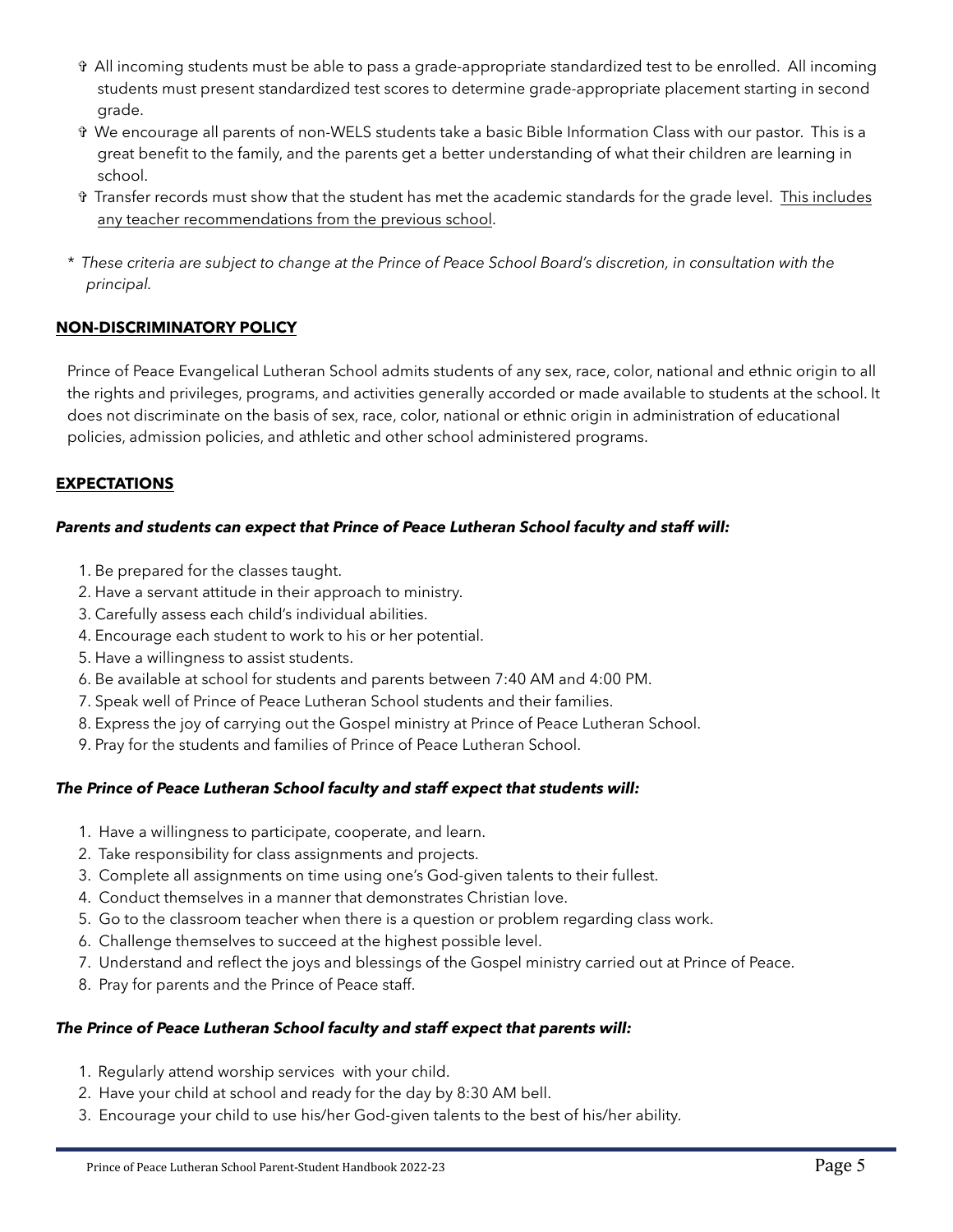- ✞ All incoming students must be able to pass a grade-appropriate standardized test to be enrolled. All incoming students must present standardized test scores to determine grade-appropriate placement starting in second grade.
- ✞ We encourage all parents of non-WELS students take a basic Bible Information Class with our pastor. This is a great benefit to the family, and the parents get a better understanding of what their children are learning in school.
- ✞ Transfer records must show that the student has met the academic standards for the grade level. This includes any teacher recommendations from the previous school.
- *\* These criteria are subject to change at the Prince of Peace School Board's discretion, in consultation with the principal.*

#### <span id="page-4-0"></span>**NON-DISCRIMINATORY POLICY**

Prince of Peace Evangelical Lutheran School admits students of any sex, race, color, national and ethnic origin to all the rights and privileges, programs, and activities generally accorded or made available to students at the school. It does not discriminate on the basis of sex, race, color, national or ethnic origin in administration of educational policies, admission policies, and athletic and other school administered programs.

#### <span id="page-4-1"></span>**EXPECTATIONS**

#### *Parents and students can expect that Prince of Peace Lutheran School faculty and staff will:*

- 1. Be prepared for the classes taught.
- 2. Have a servant attitude in their approach to ministry.
- 3. Carefully assess each child's individual abilities.
- 4. Encourage each student to work to his or her potential.
- 5. Have a willingness to assist students.
- 6. Be available at school for students and parents between 7:40 AM and 4:00 PM.
- 7. Speak well of Prince of Peace Lutheran School students and their families.
- 8. Express the joy of carrying out the Gospel ministry at Prince of Peace Lutheran School.
- 9. Pray for the students and families of Prince of Peace Lutheran School.

#### *The Prince of Peace Lutheran School faculty and staff expect that students will:*

- 1. Have a willingness to participate, cooperate, and learn.
- 2. Take responsibility for class assignments and projects.
- 3. Complete all assignments on time using one's God-given talents to their fullest.
- 4. Conduct themselves in a manner that demonstrates Christian love.
- 5. Go to the classroom teacher when there is a question or problem regarding class work.
- 6. Challenge themselves to succeed at the highest possible level.
- 7. Understand and reflect the joys and blessings of the Gospel ministry carried out at Prince of Peace.
- 8. Pray for parents and the Prince of Peace staff.

#### *The Prince of Peace Lutheran School faculty and staff expect that parents will:*

- 1. Regularly attend worship services with your child.
- 2. Have your child at school and ready for the day by 8:30 AM bell.
- 3. Encourage your child to use his/her God-given talents to the best of his/her ability.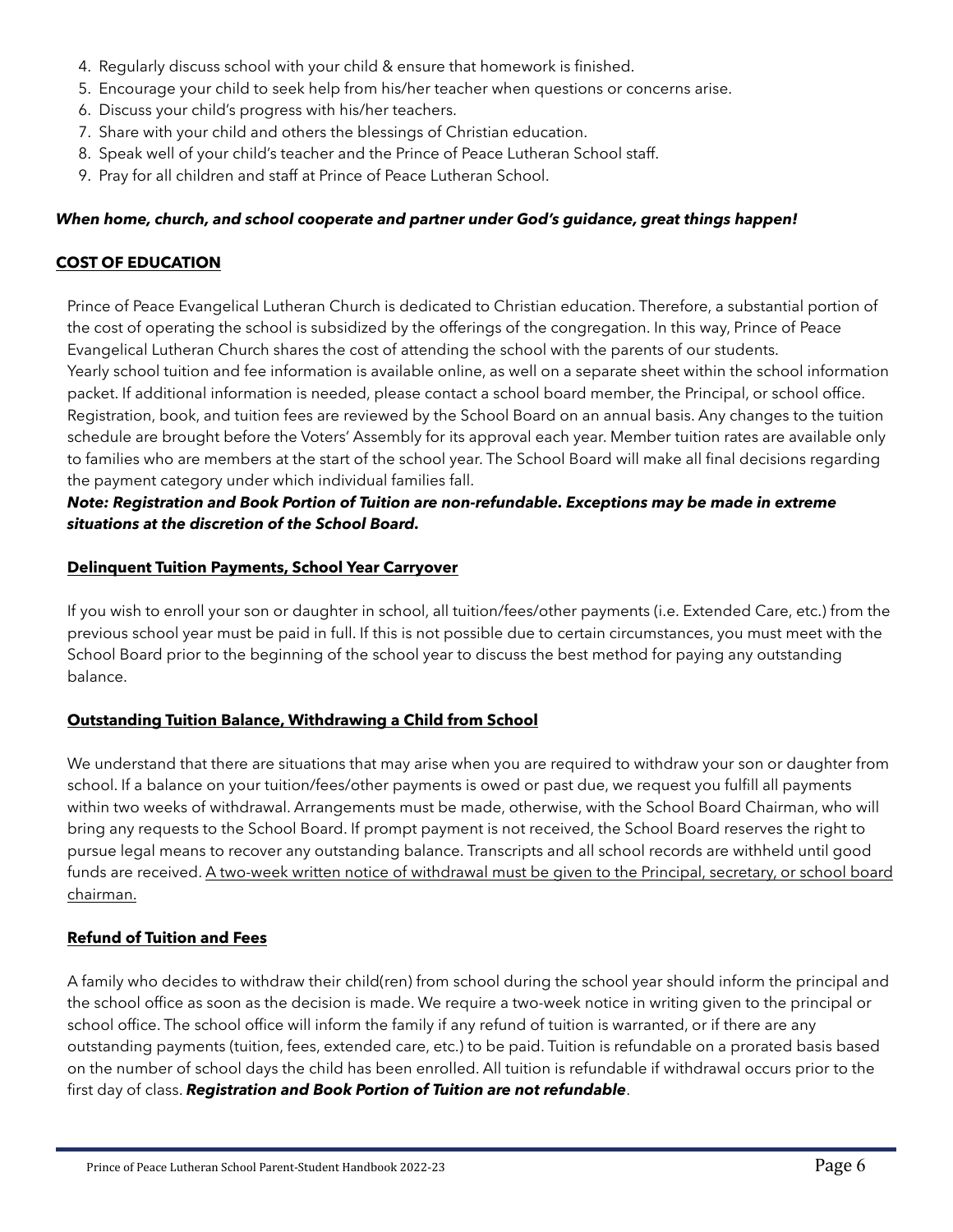- 4. Regularly discuss school with your child & ensure that homework is finished.
- 5. Encourage your child to seek help from his/her teacher when questions or concerns arise.
- 6. Discuss your child's progress with his/her teachers.
- 7. Share with your child and others the blessings of Christian education.
- 8. Speak well of your child's teacher and the Prince of Peace Lutheran School staff.
- 9. Pray for all children and staff at Prince of Peace Lutheran School.

#### *When home, church, and school cooperate and partner under God's guidance, great things happen!*

#### <span id="page-5-0"></span>**COST OF EDUCATION**

Prince of Peace Evangelical Lutheran Church is dedicated to Christian education. Therefore, a substantial portion of the cost of operating the school is subsidized by the offerings of the congregation. In this way, Prince of Peace Evangelical Lutheran Church shares the cost of attending the school with the parents of our students. Yearly school tuition and fee information is available online, as well on a separate sheet within the school information packet. If additional information is needed, please contact a school board member, the Principal, or school office. Registration, book, and tuition fees are reviewed by the School Board on an annual basis. Any changes to the tuition schedule are brought before the Voters' Assembly for its approval each year. Member tuition rates are available only to families who are members at the start of the school year. The School Board will make all final decisions regarding the payment category under which individual families fall.

#### *Note: Registration and Book Portion of Tuition are non-refundable. Exceptions may be made in extreme situations at the discretion of the School Board.*

#### **Delinquent Tuition Payments, School Year Carryover**

If you wish to enroll your son or daughter in school, all tuition/fees/other payments (i.e. Extended Care, etc.) from the previous school year must be paid in full. If this is not possible due to certain circumstances, you must meet with the School Board prior to the beginning of the school year to discuss the best method for paying any outstanding balance.

#### **Outstanding Tuition Balance, Withdrawing a Child from School**

We understand that there are situations that may arise when you are required to withdraw your son or daughter from school. If a balance on your tuition/fees/other payments is owed or past due, we request you fulfill all payments within two weeks of withdrawal. Arrangements must be made, otherwise, with the School Board Chairman, who will bring any requests to the School Board. If prompt payment is not received, the School Board reserves the right to pursue legal means to recover any outstanding balance. Transcripts and all school records are withheld until good funds are received. A two-week written notice of withdrawal must be given to the Principal, secretary, or school board chairman.

#### **Refund of Tuition and Fees**

A family who decides to withdraw their child(ren) from school during the school year should inform the principal and the school office as soon as the decision is made. We require a two-week notice in writing given to the principal or school office. The school office will inform the family if any refund of tuition is warranted, or if there are any outstanding payments (tuition, fees, extended care, etc.) to be paid. Tuition is refundable on a prorated basis based on the number of school days the child has been enrolled. All tuition is refundable if withdrawal occurs prior to the first day of class. *Registration and Book Portion of Tuition are not refundable*.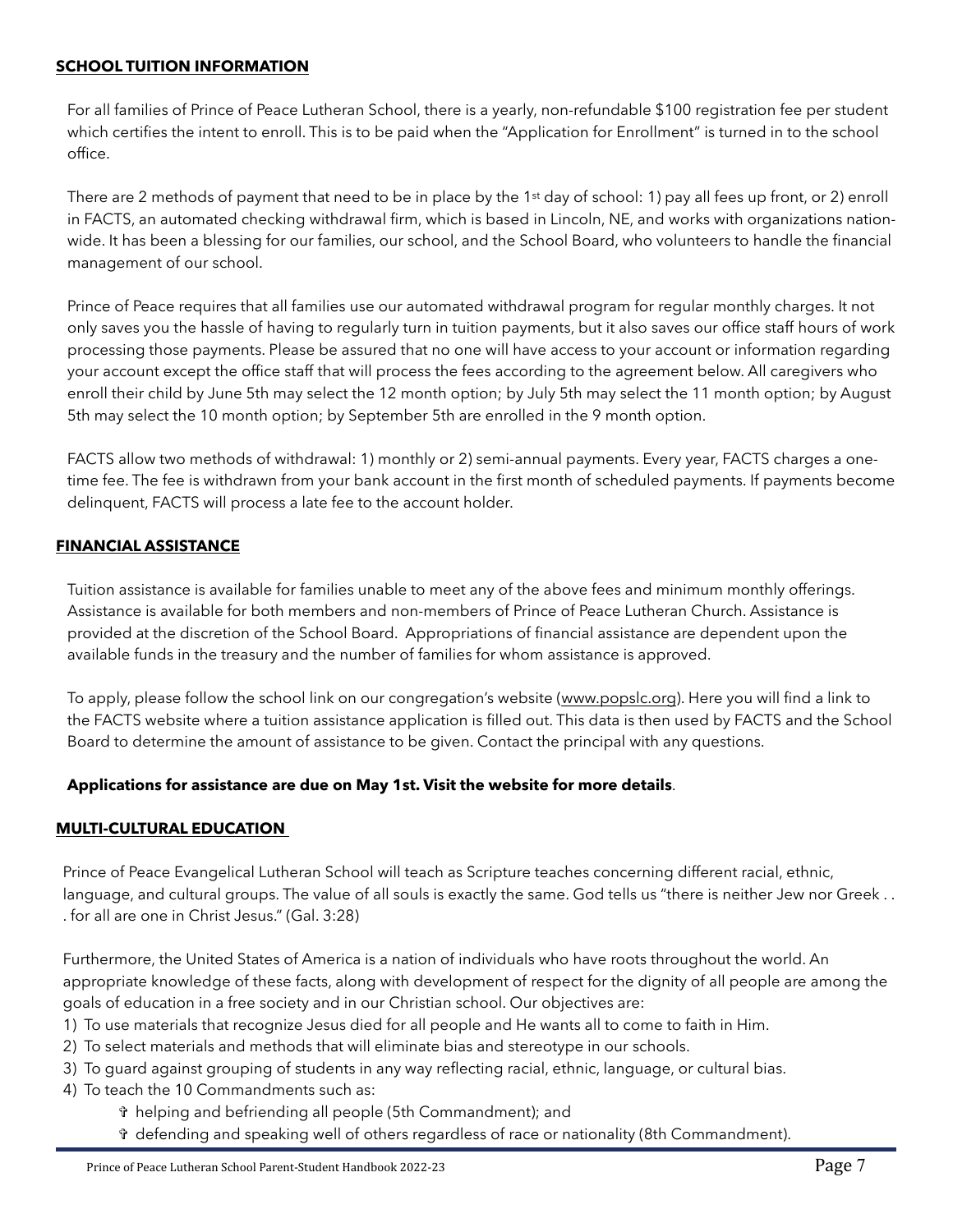#### <span id="page-6-0"></span>**SCHOOL TUITION INFORMATION**

For all families of Prince of Peace Lutheran School, there is a yearly, non-refundable \$100 registration fee per student which certifies the intent to enroll. This is to be paid when the "Application for Enrollment" is turned in to the school office.

There are 2 methods of payment that need to be in place by the 1<sup>st</sup> day of school: 1) pay all fees up front, or 2) enroll in FACTS, an automated checking withdrawal firm, which is based in Lincoln, NE, and works with organizations nationwide. It has been a blessing for our families, our school, and the School Board, who volunteers to handle the financial management of our school.

Prince of Peace requires that all families use our automated withdrawal program for regular monthly charges. It not only saves you the hassle of having to regularly turn in tuition payments, but it also saves our office staff hours of work processing those payments. Please be assured that no one will have access to your account or information regarding your account except the office staff that will process the fees according to the agreement below. All caregivers who enroll their child by June 5th may select the 12 month option; by July 5th may select the 11 month option; by August 5th may select the 10 month option; by September 5th are enrolled in the 9 month option.

FACTS allow two methods of withdrawal: 1) monthly or 2) semi-annual payments. Every year, FACTS charges a onetime fee. The fee is withdrawn from your bank account in the first month of scheduled payments. If payments become delinquent, FACTS will process a late fee to the account holder.

#### <span id="page-6-1"></span>**FINANCIAL ASSISTANCE**

Tuition assistance is available for families unable to meet any of the above fees and minimum monthly offerings. Assistance is available for both members and non-members of Prince of Peace Lutheran Church. Assistance is provided at the discretion of the School Board. Appropriations of financial assistance are dependent upon the available funds in the treasury and the number of families for whom assistance is approved.

To apply, please follow the school link on our congregation's website ([www.popslc.org\)](http://www.popslc.org). Here you will find a link to the FACTS website where a tuition assistance application is filled out. This data is then used by FACTS and the School Board to determine the amount of assistance to be given. Contact the principal with any questions.

#### **Applications for assistance are due on May 1st. Visit the website for more details**.

#### <span id="page-6-2"></span>**MULTI-CULTURAL EDUCATION**

Prince of Peace Evangelical Lutheran School will teach as Scripture teaches concerning different racial, ethnic, language, and cultural groups. The value of all souls is exactly the same. God tells us "there is neither Jew nor Greek . . . for all are one in Christ Jesus." (Gal. 3:28)

Furthermore, the United States of America is a nation of individuals who have roots throughout the world. An appropriate knowledge of these facts, along with development of respect for the dignity of all people are among the goals of education in a free society and in our Christian school. Our objectives are:

- 1) To use materials that recognize Jesus died for all people and He wants all to come to faith in Him.
- 2) To select materials and methods that will eliminate bias and stereotype in our schools.
- 3) To guard against grouping of students in any way reflecting racial, ethnic, language, or cultural bias.
- 4) To teach the 10 Commandments such as:
	- ✞ helping and befriending all people (5th Commandment); and
	- ✞ defending and speaking well of others regardless of race or nationality (8th Commandment).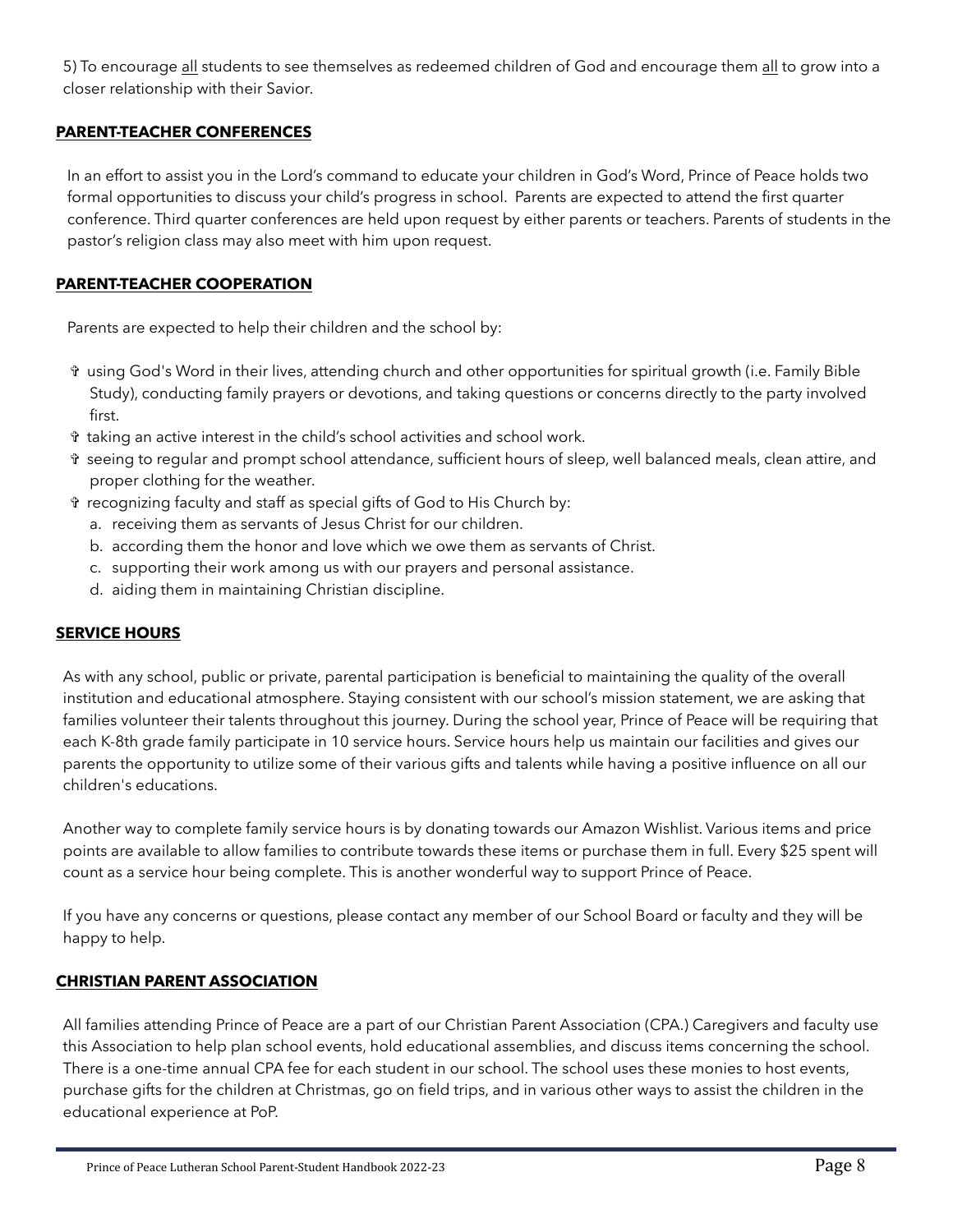5) To encourage all students to see themselves as redeemed children of God and encourage them all to grow into a closer relationship with their Savior.

# <span id="page-7-0"></span>**PARENT-TEACHER CONFERENCES**

In an effort to assist you in the Lord's command to educate your children in God's Word, Prince of Peace holds two formal opportunities to discuss your child's progress in school. Parents are expected to attend the first quarter conference. Third quarter conferences are held upon request by either parents or teachers. Parents of students in the pastor's religion class may also meet with him upon request.

#### <span id="page-7-1"></span>**PARENT-TEACHER COOPERATION**

Parents are expected to help their children and the school by:

- ✞ using God's Word in their lives, attending church and other opportunities for spiritual growth (i.e. Family Bible Study), conducting family prayers or devotions, and taking questions or concerns directly to the party involved first.
- ✞ taking an active interest in the child's school activities and school work.
- ✞ seeing to regular and prompt school attendance, sufficient hours of sleep, well balanced meals, clean attire, and proper clothing for the weather.
- ✞ recognizing faculty and staff as special gifts of God to His Church by:
	- a. receiving them as servants of Jesus Christ for our children.
	- b. according them the honor and love which we owe them as servants of Christ.
	- c. supporting their work among us with our prayers and personal assistance.
	- d. aiding them in maintaining Christian discipline.

#### <span id="page-7-2"></span>**SERVICE HOURS**

As with any school, public or private, parental participation is beneficial to maintaining the quality of the overall institution and educational atmosphere. Staying consistent with our school's mission statement, we are asking that families volunteer their talents throughout this journey. During the school year, Prince of Peace will be requiring that each K-8th grade family participate in 10 service hours. Service hours help us maintain our facilities and gives our parents the opportunity to utilize some of their various gifts and talents while having a positive influence on all our children's educations.

Another way to complete family service hours is by donating towards our Amazon Wishlist. Various items and price points are available to allow families to contribute towards these items or purchase them in full. Every \$25 spent will count as a service hour being complete. This is another wonderful way to support Prince of Peace.

If you have any concerns or questions, please contact any member of our School Board or faculty and they will be happy to help.

#### <span id="page-7-3"></span>**CHRISTIAN PARENT ASSOCIATION**

All families attending Prince of Peace are a part of our Christian Parent Association (CPA.) Caregivers and faculty use this Association to help plan school events, hold educational assemblies, and discuss items concerning the school. There is a one-time annual CPA fee for each student in our school. The school uses these monies to host events, purchase gifts for the children at Christmas, go on field trips, and in various other ways to assist the children in the educational experience at PoP.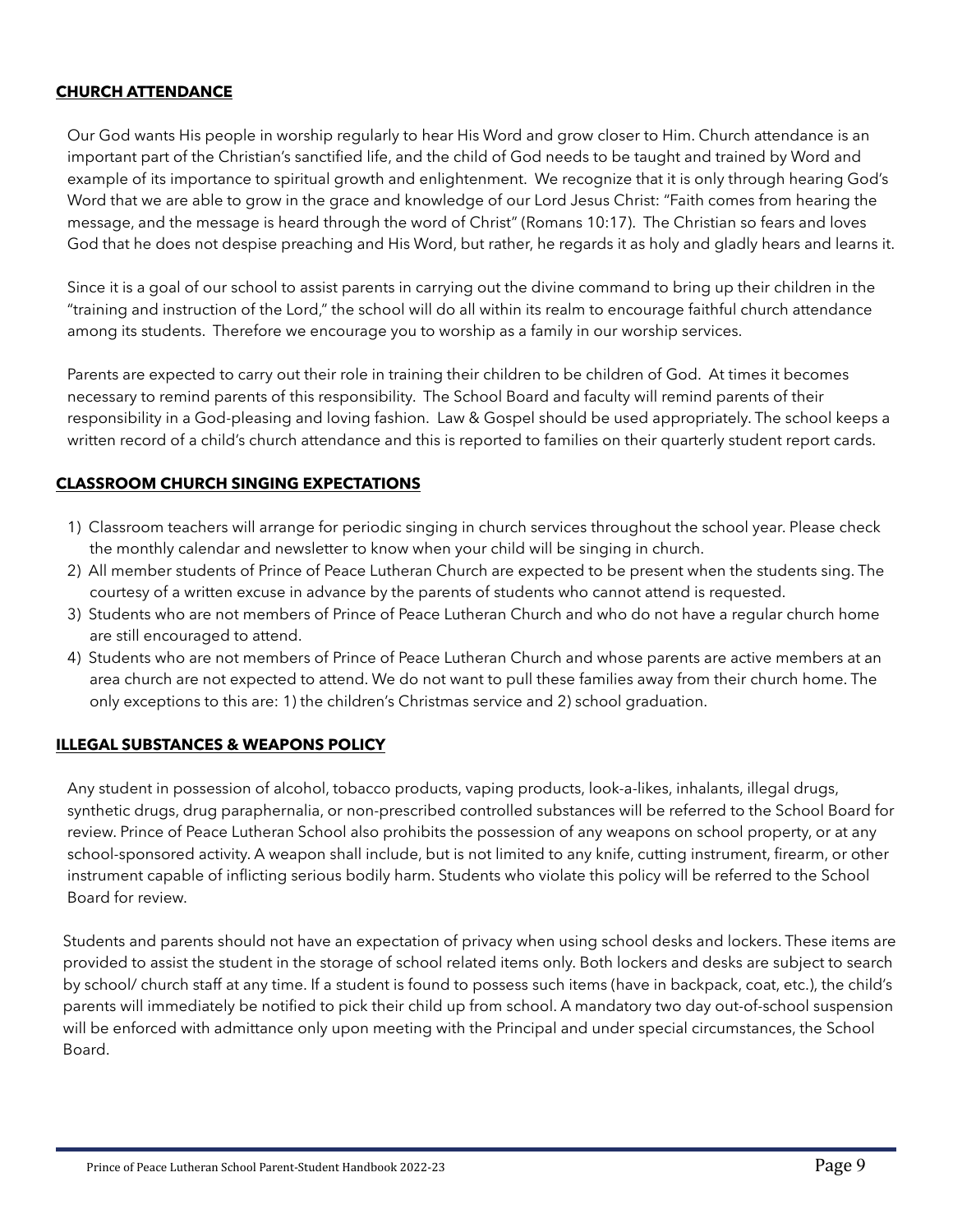#### <span id="page-8-0"></span>**CHURCH ATTENDANCE**

Our God wants His people in worship regularly to hear His Word and grow closer to Him. Church attendance is an important part of the Christian's sanctified life, and the child of God needs to be taught and trained by Word and example of its importance to spiritual growth and enlightenment. We recognize that it is only through hearing God's Word that we are able to grow in the grace and knowledge of our Lord Jesus Christ: "Faith comes from hearing the message, and the message is heard through the word of Christ" (Romans 10:17). The Christian so fears and loves God that he does not despise preaching and His Word, but rather, he regards it as holy and gladly hears and learns it.

Since it is a goal of our school to assist parents in carrying out the divine command to bring up their children in the "training and instruction of the Lord," the school will do all within its realm to encourage faithful church attendance among its students. Therefore we encourage you to worship as a family in our worship services.

Parents are expected to carry out their role in training their children to be children of God. At times it becomes necessary to remind parents of this responsibility. The School Board and faculty will remind parents of their responsibility in a God-pleasing and loving fashion. Law & Gospel should be used appropriately. The school keeps a written record of a child's church attendance and this is reported to families on their quarterly student report cards.

#### <span id="page-8-1"></span>**CLASSROOM CHURCH SINGING EXPECTATIONS**

- 1) Classroom teachers will arrange for periodic singing in church services throughout the school year. Please check the monthly calendar and newsletter to know when your child will be singing in church.
- 2) All member students of Prince of Peace Lutheran Church are expected to be present when the students sing. The courtesy of a written excuse in advance by the parents of students who cannot attend is requested.
- 3) Students who are not members of Prince of Peace Lutheran Church and who do not have a regular church home are still encouraged to attend.
- 4) Students who are not members of Prince of Peace Lutheran Church and whose parents are active members at an area church are not expected to attend. We do not want to pull these families away from their church home. The only exceptions to this are: 1) the children's Christmas service and 2) school graduation.

#### <span id="page-8-2"></span>**ILLEGAL SUBSTANCES & WEAPONS POLICY**

Any student in possession of alcohol, tobacco products, vaping products, look-a-likes, inhalants, illegal drugs, synthetic drugs, drug paraphernalia, or non-prescribed controlled substances will be referred to the School Board for review. Prince of Peace Lutheran School also prohibits the possession of any weapons on school property, or at any school-sponsored activity. A weapon shall include, but is not limited to any knife, cutting instrument, firearm, or other instrument capable of inflicting serious bodily harm. Students who violate this policy will be referred to the School Board for review.

Students and parents should not have an expectation of privacy when using school desks and lockers. These items are provided to assist the student in the storage of school related items only. Both lockers and desks are subject to search by school/ church staff at any time. If a student is found to possess such items (have in backpack, coat, etc.), the child's parents will immediately be notified to pick their child up from school. A mandatory two day out-of-school suspension will be enforced with admittance only upon meeting with the Principal and under special circumstances, the School Board.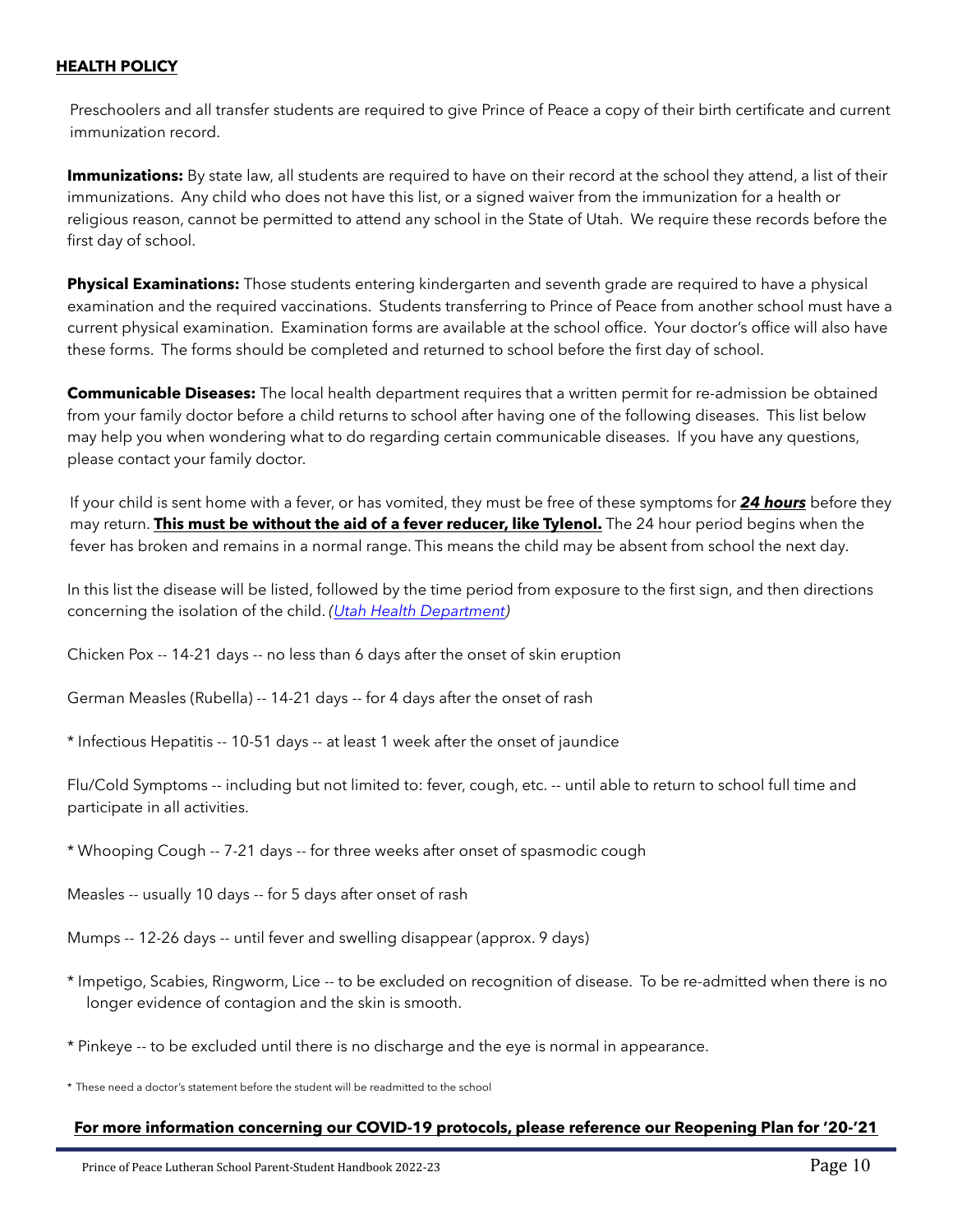#### <span id="page-9-0"></span>**HEALTH POLICY**

Preschoolers and all transfer students are required to give Prince of Peace a copy of their birth certificate and current immunization record.

**Immunizations:** By state law, all students are required to have on their record at the school they attend, a list of their immunizations. Any child who does not have this list, or a signed waiver from the immunization for a health or religious reason, cannot be permitted to attend any school in the State of Utah. We require these records before the first day of school.

**Physical Examinations:** Those students entering kindergarten and seventh grade are required to have a physical examination and the required vaccinations. Students transferring to Prince of Peace from another school must have a current physical examination. Examination forms are available at the school office. Your doctor's office will also have these forms. The forms should be completed and returned to school before the first day of school.

**Communicable Diseases:** The local health department requires that a written permit for re-admission be obtained from your family doctor before a child returns to school after having one of the following diseases. This list below may help you when wondering what to do regarding certain communicable diseases. If you have any questions, please contact your family doctor.

If your child is sent home with a fever, or has vomited, they must be free of these symptoms for *24 hours* before they may return. **This must be without the aid of a fever reducer, like Tylenol.** The 24 hour period begins when the fever has broken and remains in a normal range. This means the child may be absent from school the next day.

In this list the disease will be listed, followed by the time period from exposure to the first sign, and then directions concerning the isolation of the child. *([Utah Health Department\)](http://health.utah.gov/epi/school_childcare/daycarebook.pdf)*

Chicken Pox -- 14-21 days -- no less than 6 days after the onset of skin eruption

German Measles (Rubella) -- 14-21 days -- for 4 days after the onset of rash

\* Infectious Hepatitis -- 10-51 days -- at least 1 week after the onset of jaundice

Flu/Cold Symptoms -- including but not limited to: fever, cough, etc. -- until able to return to school full time and participate in all activities.

\* Whooping Cough -- 7-21 days -- for three weeks after onset of spasmodic cough

Measles -- usually 10 days -- for 5 days after onset of rash

Mumps -- 12-26 days -- until fever and swelling disappear (approx. 9 days)

- \* Impetigo, Scabies, Ringworm, Lice -- to be excluded on recognition of disease. To be re-admitted when there is no longer evidence of contagion and the skin is smooth.
- \* Pinkeye -- to be excluded until there is no discharge and the eye is normal in appearance.

\* These need a doctor's statement before the student will be readmitted to the school

#### **For more information concerning our COVID-19 protocols, please reference our Reopening Plan for '20-'21**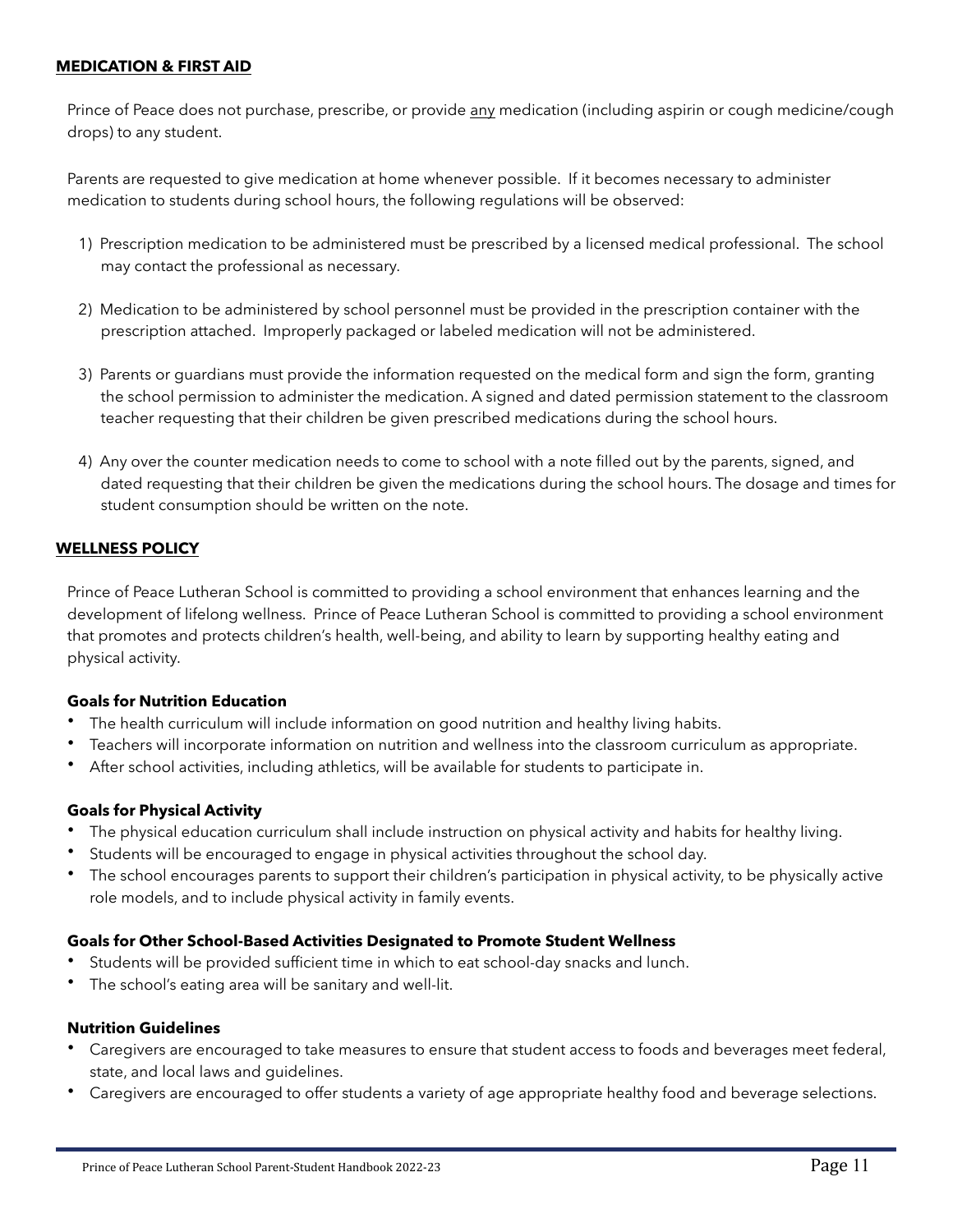#### <span id="page-10-0"></span>**MEDICATION & FIRST AID**

Prince of Peace does not purchase, prescribe, or provide any medication (including aspirin or cough medicine/cough drops) to any student.

Parents are requested to give medication at home whenever possible. If it becomes necessary to administer medication to students during school hours, the following regulations will be observed:

- 1) Prescription medication to be administered must be prescribed by a licensed medical professional. The school may contact the professional as necessary.
- 2) Medication to be administered by school personnel must be provided in the prescription container with the prescription attached. Improperly packaged or labeled medication will not be administered.
- 3) Parents or guardians must provide the information requested on the medical form and sign the form, granting the school permission to administer the medication. A signed and dated permission statement to the classroom teacher requesting that their children be given prescribed medications during the school hours.
- 4) Any over the counter medication needs to come to school with a note filled out by the parents, signed, and dated requesting that their children be given the medications during the school hours. The dosage and times for student consumption should be written on the note.

#### <span id="page-10-1"></span>**WELLNESS POLICY**

Prince of Peace Lutheran School is committed to providing a school environment that enhances learning and the development of lifelong wellness. Prince of Peace Lutheran School is committed to providing a school environment that promotes and protects children's health, well-being, and ability to learn by supporting healthy eating and physical activity.

#### **Goals for Nutrition Education**

- The health curriculum will include information on good nutrition and healthy living habits.
- Teachers will incorporate information on nutrition and wellness into the classroom curriculum as appropriate.
- After school activities, including athletics, will be available for students to participate in.

#### **Goals for Physical Activity**

- The physical education curriculum shall include instruction on physical activity and habits for healthy living.
- Students will be encouraged to engage in physical activities throughout the school day.
- The school encourages parents to support their children's participation in physical activity, to be physically active role models, and to include physical activity in family events.

#### **Goals for Other School-Based Activities Designated to Promote Student Wellness**

- Students will be provided sufficient time in which to eat school-day snacks and lunch.
- The school's eating area will be sanitary and well-lit.

#### **Nutrition Guidelines**

- Caregivers are encouraged to take measures to ensure that student access to foods and beverages meet federal, state, and local laws and guidelines.
- Caregivers are encouraged to offer students a variety of age appropriate healthy food and beverage selections.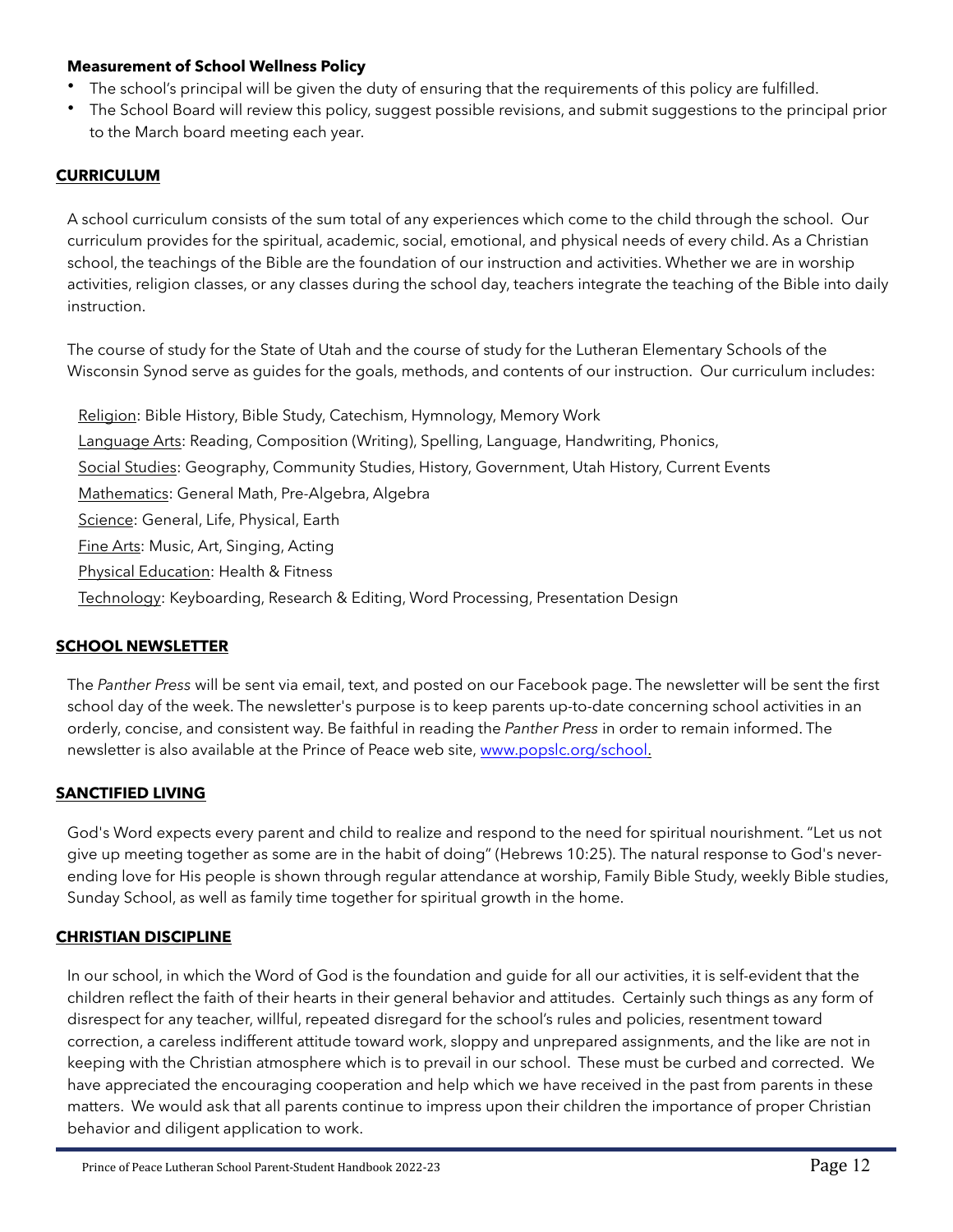#### **Measurement of School Wellness Policy**

- The school's principal will be given the duty of ensuring that the requirements of this policy are fulfilled.
- The School Board will review this policy, suggest possible revisions, and submit suggestions to the principal prior to the March board meeting each year.

#### <span id="page-11-0"></span>**CURRICULUM**

A school curriculum consists of the sum total of any experiences which come to the child through the school. Our curriculum provides for the spiritual, academic, social, emotional, and physical needs of every child. As a Christian school, the teachings of the Bible are the foundation of our instruction and activities. Whether we are in worship activities, religion classes, or any classes during the school day, teachers integrate the teaching of the Bible into daily instruction.

The course of study for the State of Utah and the course of study for the Lutheran Elementary Schools of the Wisconsin Synod serve as guides for the goals, methods, and contents of our instruction. Our curriculum includes:

Religion: Bible History, Bible Study, Catechism, Hymnology, Memory Work Language Arts: Reading, Composition (Writing), Spelling, Language, Handwriting, Phonics, Social Studies: Geography, Community Studies, History, Government, Utah History, Current Events Mathematics: General Math, Pre-Algebra, Algebra Science: General, Life, Physical, Earth Fine Arts: Music, Art, Singing, Acting Physical Education: Health & Fitness Technology: Keyboarding, Research & Editing, Word Processing, Presentation Design

#### <span id="page-11-1"></span>**SCHOOL NEWSLETTER**

The *Panther Press* will be sent via email, text, and posted on our Facebook page. The newsletter will be sent the first school day of the week. The newsletter's purpose is to keep parents up-to-date concerning school activities in an orderly, concise, and consistent way. Be faithful in reading the *Panther Press* in order to remain informed. The newsletter is also available at the Prince of Peace web site, [www.popslc.org/school.](http://www.popslc.org/school)

#### <span id="page-11-2"></span>**SANCTIFIED LIVING**

God's Word expects every parent and child to realize and respond to the need for spiritual nourishment. "Let us not give up meeting together as some are in the habit of doing" (Hebrews 10:25). The natural response to God's neverending love for His people is shown through regular attendance at worship, Family Bible Study, weekly Bible studies, Sunday School, as well as family time together for spiritual growth in the home.

#### <span id="page-11-3"></span>**CHRISTIAN DISCIPLINE**

In our school, in which the Word of God is the foundation and guide for all our activities, it is self-evident that the children reflect the faith of their hearts in their general behavior and attitudes. Certainly such things as any form of disrespect for any teacher, willful, repeated disregard for the school's rules and policies, resentment toward correction, a careless indifferent attitude toward work, sloppy and unprepared assignments, and the like are not in keeping with the Christian atmosphere which is to prevail in our school. These must be curbed and corrected. We have appreciated the encouraging cooperation and help which we have received in the past from parents in these matters. We would ask that all parents continue to impress upon their children the importance of proper Christian behavior and diligent application to work.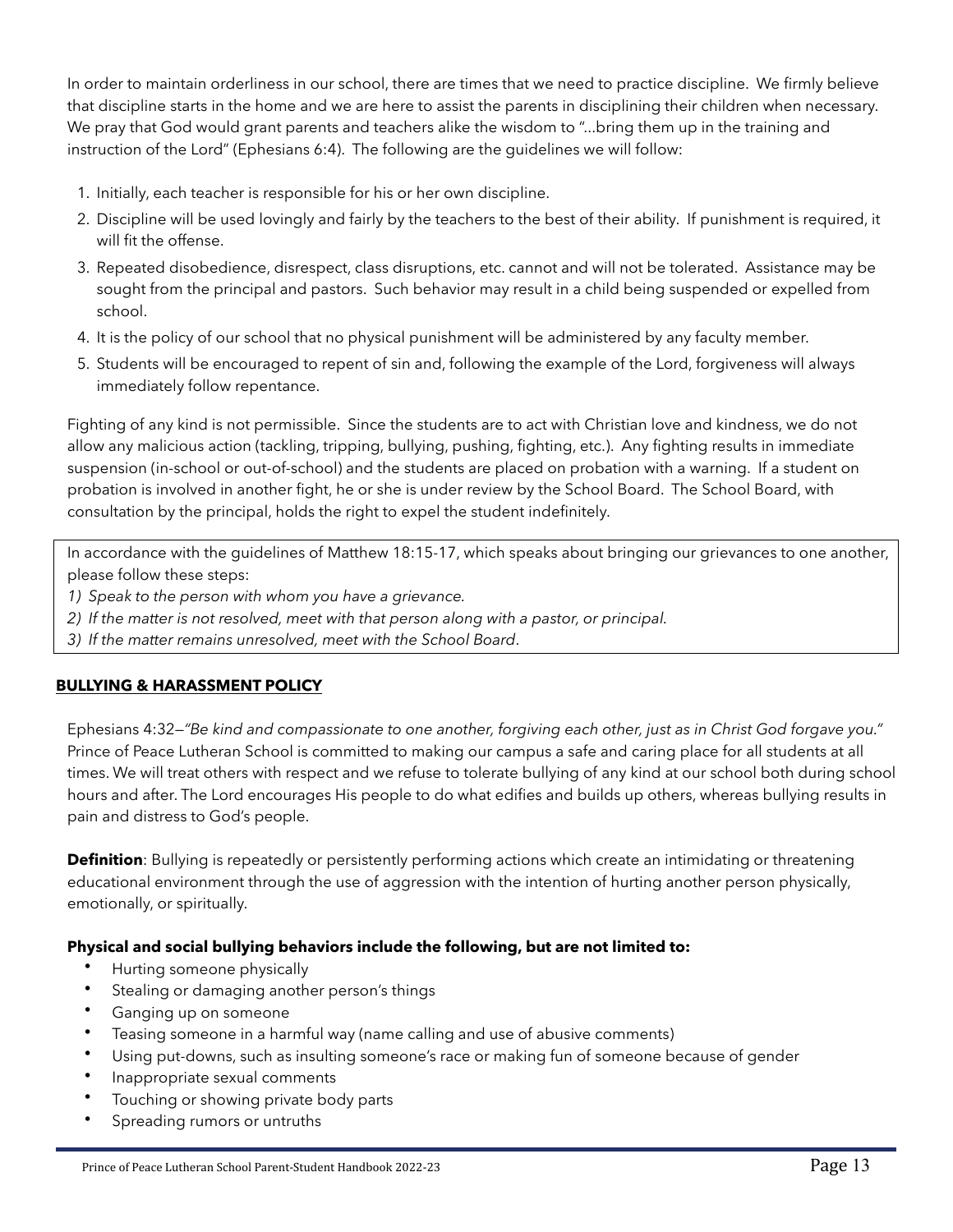In order to maintain orderliness in our school, there are times that we need to practice discipline. We firmly believe that discipline starts in the home and we are here to assist the parents in disciplining their children when necessary. We pray that God would grant parents and teachers alike the wisdom to "...bring them up in the training and instruction of the Lord" (Ephesians 6:4). The following are the guidelines we will follow:

- 1. Initially, each teacher is responsible for his or her own discipline.
- 2. Discipline will be used lovingly and fairly by the teachers to the best of their ability. If punishment is required, it will fit the offense.
- 3. Repeated disobedience, disrespect, class disruptions, etc. cannot and will not be tolerated. Assistance may be sought from the principal and pastors. Such behavior may result in a child being suspended or expelled from school.
- 4. It is the policy of our school that no physical punishment will be administered by any faculty member.
- 5. Students will be encouraged to repent of sin and, following the example of the Lord, forgiveness will always immediately follow repentance.

Fighting of any kind is not permissible. Since the students are to act with Christian love and kindness, we do not allow any malicious action (tackling, tripping, bullying, pushing, fighting, etc.). Any fighting results in immediate suspension (in-school or out-of-school) and the students are placed on probation with a warning. If a student on probation is involved in another fight, he or she is under review by the School Board. The School Board, with consultation by the principal, holds the right to expel the student indefinitely.

In accordance with the guidelines of Matthew 18:15-17, which speaks about bringing our grievances to one another, please follow these steps:

- *1) Speak to the person with whom you have a grievance.*
- *2) If the matter is not resolved, meet with that person along with a pastor, or principal.*
- *3) If the matter remains unresolved, meet with the School Board*.

# <span id="page-12-0"></span>**BULLYING & HARASSMENT POLICY**

Ephesians 4:32—*"Be kind and compassionate to one another, forgiving each other, just as in Christ God forgave you."* Prince of Peace Lutheran School is committed to making our campus a safe and caring place for all students at all times. We will treat others with respect and we refuse to tolerate bullying of any kind at our school both during school hours and after. The Lord encourages His people to do what edifies and builds up others, whereas bullying results in pain and distress to God's people.

**Definition**: Bullying is repeatedly or persistently performing actions which create an intimidating or threatening educational environment through the use of aggression with the intention of hurting another person physically, emotionally, or spiritually.

#### **Physical and social bullying behaviors include the following, but are not limited to:**

- Hurting someone physically
- Stealing or damaging another person's things
- Ganging up on someone
- Teasing someone in a harmful way (name calling and use of abusive comments)
- Using put-downs, such as insulting someone's race or making fun of someone because of gender
- Inappropriate sexual comments
- Touching or showing private body parts
- Spreading rumors or untruths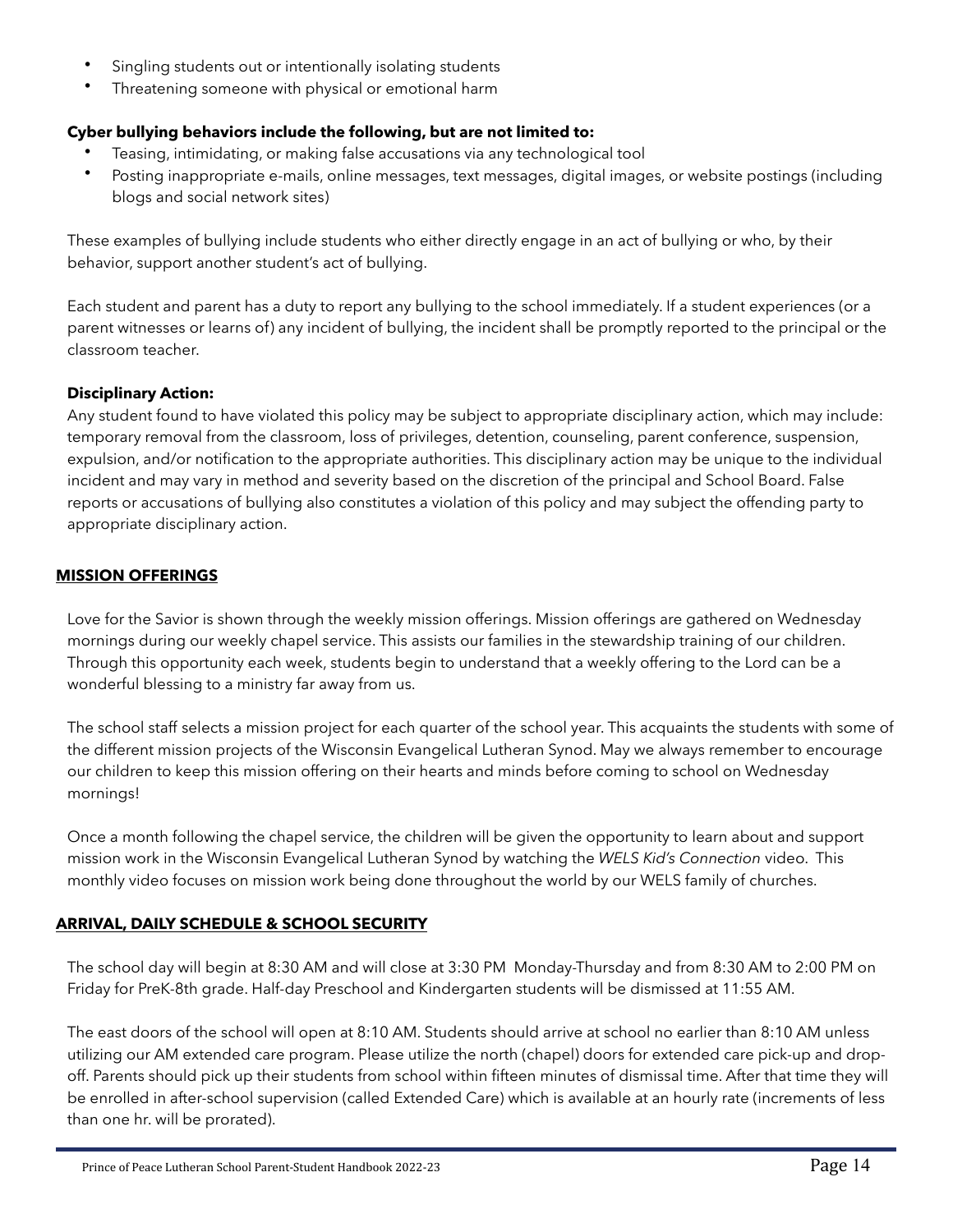- Singling students out or intentionally isolating students
- Threatening someone with physical or emotional harm

#### **Cyber bullying behaviors include the following, but are not limited to:**

- Teasing, intimidating, or making false accusations via any technological tool
- Posting inappropriate e-mails, online messages, text messages, digital images, or website postings (including blogs and social network sites)

These examples of bullying include students who either directly engage in an act of bullying or who, by their behavior, support another student's act of bullying.

Each student and parent has a duty to report any bullying to the school immediately. If a student experiences (or a parent witnesses or learns of) any incident of bullying, the incident shall be promptly reported to the principal or the classroom teacher.

#### **Disciplinary Action:**

Any student found to have violated this policy may be subject to appropriate disciplinary action, which may include: temporary removal from the classroom, loss of privileges, detention, counseling, parent conference, suspension, expulsion, and/or notification to the appropriate authorities. This disciplinary action may be unique to the individual incident and may vary in method and severity based on the discretion of the principal and School Board. False reports or accusations of bullying also constitutes a violation of this policy and may subject the offending party to appropriate disciplinary action.

#### <span id="page-13-0"></span>**MISSION OFFERINGS**

Love for the Savior is shown through the weekly mission offerings. Mission offerings are gathered on Wednesday mornings during our weekly chapel service. This assists our families in the stewardship training of our children. Through this opportunity each week, students begin to understand that a weekly offering to the Lord can be a wonderful blessing to a ministry far away from us.

The school staff selects a mission project for each quarter of the school year. This acquaints the students with some of the different mission projects of the Wisconsin Evangelical Lutheran Synod. May we always remember to encourage our children to keep this mission offering on their hearts and minds before coming to school on Wednesday mornings!

Once a month following the chapel service, the children will be given the opportunity to learn about and support mission work in the Wisconsin Evangelical Lutheran Synod by watching the *WELS Kid's Connection* video. This monthly video focuses on mission work being done throughout the world by our WELS family of churches.

#### <span id="page-13-1"></span>**ARRIVAL, DAILY SCHEDULE & SCHOOL SECURITY**

The school day will begin at 8:30 AM and will close at 3:30 PM Monday-Thursday and from 8:30 AM to 2:00 PM on Friday for PreK-8th grade. Half-day Preschool and Kindergarten students will be dismissed at 11:55 AM.

The east doors of the school will open at 8:10 AM. Students should arrive at school no earlier than 8:10 AM unless utilizing our AM extended care program. Please utilize the north (chapel) doors for extended care pick-up and dropoff. Parents should pick up their students from school within fifteen minutes of dismissal time. After that time they will be enrolled in after-school supervision (called Extended Care) which is available at an hourly rate (increments of less than one hr. will be prorated).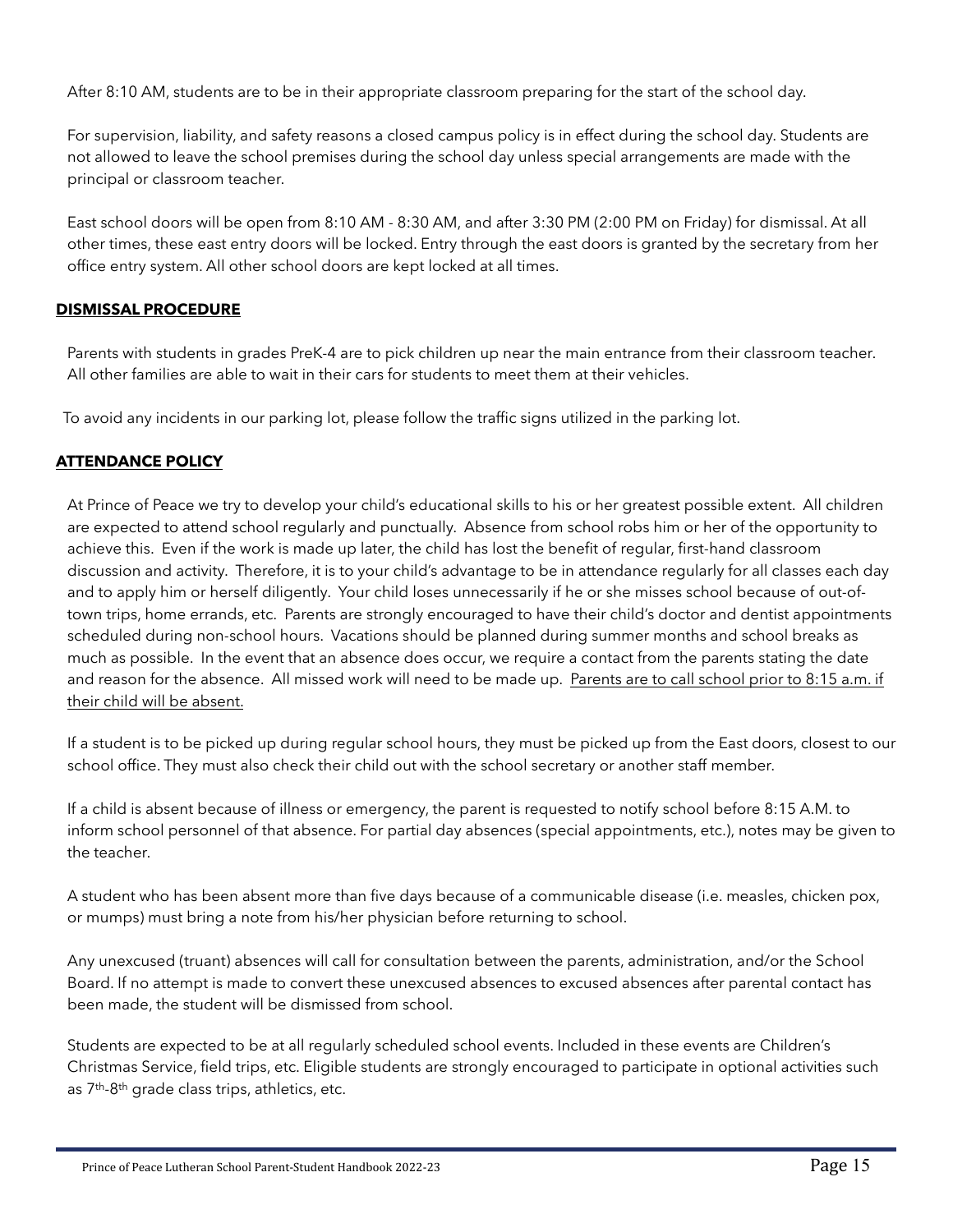After 8:10 AM, students are to be in their appropriate classroom preparing for the start of the school day.

For supervision, liability, and safety reasons a closed campus policy is in effect during the school day. Students are not allowed to leave the school premises during the school day unless special arrangements are made with the principal or classroom teacher.

East school doors will be open from 8:10 AM - 8:30 AM, and after 3:30 PM (2:00 PM on Friday) for dismissal. At all other times, these east entry doors will be locked. Entry through the east doors is granted by the secretary from her office entry system. All other school doors are kept locked at all times.

#### <span id="page-14-0"></span>**DISMISSAL PROCEDURE**

Parents with students in grades PreK-4 are to pick children up near the main entrance from their classroom teacher. All other families are able to wait in their cars for students to meet them at their vehicles.

To avoid any incidents in our parking lot, please follow the traffic signs utilized in the parking lot.

#### <span id="page-14-1"></span>**ATTENDANCE POLICY**

At Prince of Peace we try to develop your child's educational skills to his or her greatest possible extent. All children are expected to attend school regularly and punctually. Absence from school robs him or her of the opportunity to achieve this. Even if the work is made up later, the child has lost the benefit of regular, first-hand classroom discussion and activity. Therefore, it is to your child's advantage to be in attendance regularly for all classes each day and to apply him or herself diligently. Your child loses unnecessarily if he or she misses school because of out-oftown trips, home errands, etc. Parents are strongly encouraged to have their child's doctor and dentist appointments scheduled during non-school hours. Vacations should be planned during summer months and school breaks as much as possible. In the event that an absence does occur, we require a contact from the parents stating the date and reason for the absence. All missed work will need to be made up. Parents are to call school prior to 8:15 a.m. if their child will be absent.

If a student is to be picked up during regular school hours, they must be picked up from the East doors, closest to our school office. They must also check their child out with the school secretary or another staff member.

If a child is absent because of illness or emergency, the parent is requested to notify school before 8:15 A.M. to inform school personnel of that absence. For partial day absences (special appointments, etc.), notes may be given to the teacher.

A student who has been absent more than five days because of a communicable disease (i.e. measles, chicken pox, or mumps) must bring a note from his/her physician before returning to school.

Any unexcused (truant) absences will call for consultation between the parents, administration, and/or the School Board. If no attempt is made to convert these unexcused absences to excused absences after parental contact has been made, the student will be dismissed from school.

Students are expected to be at all regularly scheduled school events. Included in these events are Children's Christmas Service, field trips, etc. Eligible students are strongly encouraged to participate in optional activities such as 7th-8th grade class trips, athletics, etc.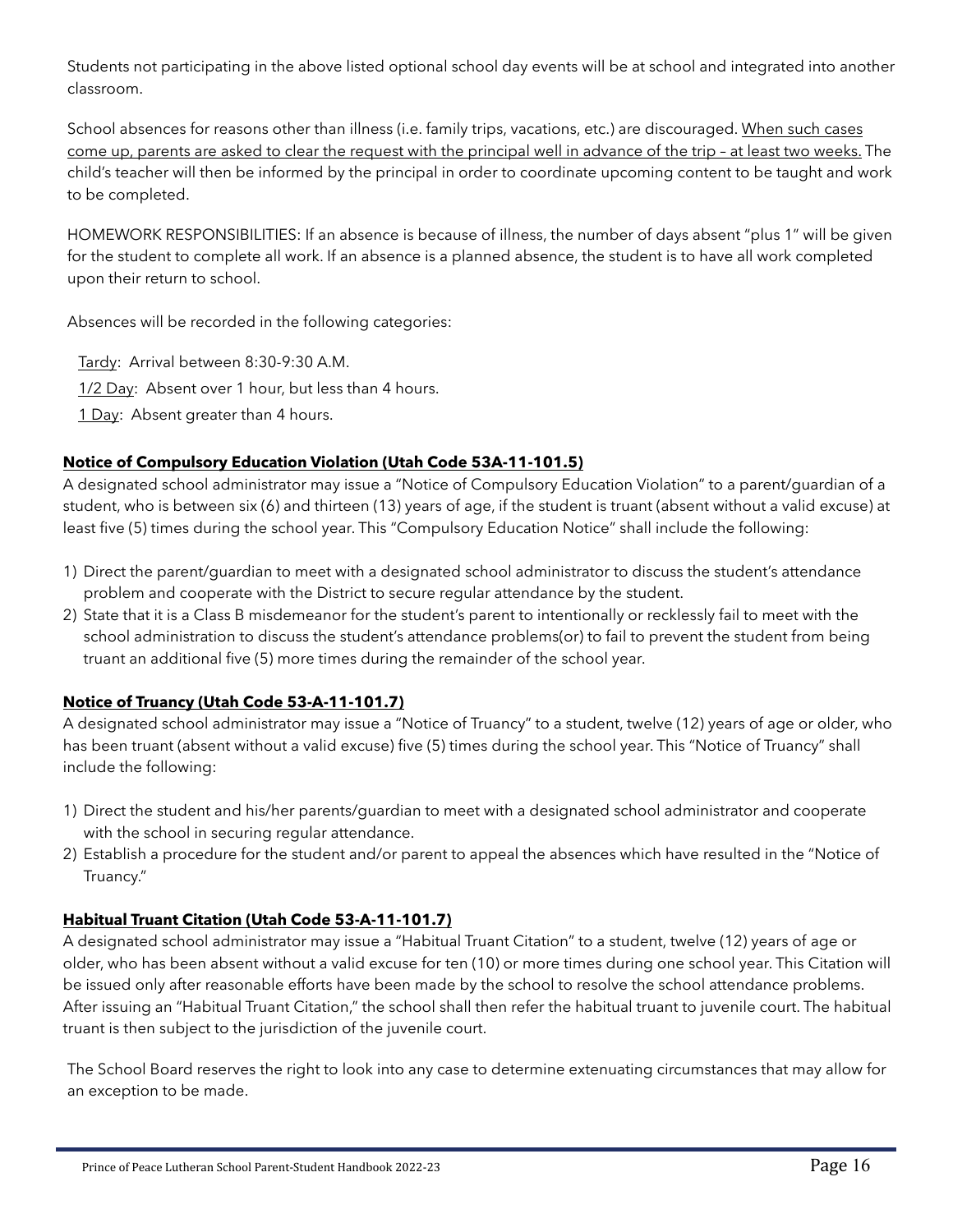Students not participating in the above listed optional school day events will be at school and integrated into another classroom.

School absences for reasons other than illness (i.e. family trips, vacations, etc.) are discouraged. When such cases come up, parents are asked to clear the request with the principal well in advance of the trip – at least two weeks. The child's teacher will then be informed by the principal in order to coordinate upcoming content to be taught and work to be completed.

HOMEWORK RESPONSIBILITIES: If an absence is because of illness, the number of days absent "plus 1" will be given for the student to complete all work. If an absence is a planned absence, the student is to have all work completed upon their return to school.

Absences will be recorded in the following categories:

Tardy: Arrival between 8:30-9:30 A.M.

1/2 Day: Absent over 1 hour, but less than 4 hours.

1 Day: Absent greater than 4 hours.

#### **Notice of Compulsory Education Violation (Utah Code 53A-11-101.5)**

A designated school administrator may issue a "Notice of Compulsory Education Violation" to a parent/guardian of a student, who is between six (6) and thirteen (13) years of age, if the student is truant (absent without a valid excuse) at least five (5) times during the school year. This "Compulsory Education Notice" shall include the following:

- 1) Direct the parent/guardian to meet with a designated school administrator to discuss the student's attendance problem and cooperate with the District to secure regular attendance by the student.
- 2) State that it is a Class B misdemeanor for the student's parent to intentionally or recklessly fail to meet with the school administration to discuss the student's attendance problems(or) to fail to prevent the student from being truant an additional five (5) more times during the remainder of the school year.

# **Notice of Truancy (Utah Code 53-A-11-101.7)**

A designated school administrator may issue a "Notice of Truancy" to a student, twelve (12) years of age or older, who has been truant (absent without a valid excuse) five (5) times during the school year. This "Notice of Truancy" shall include the following:

- 1) Direct the student and his/her parents/guardian to meet with a designated school administrator and cooperate with the school in securing regular attendance.
- 2) Establish a procedure for the student and/or parent to appeal the absences which have resulted in the "Notice of Truancy."

# **Habitual Truant Citation (Utah Code 53-A-11-101.7)**

A designated school administrator may issue a "Habitual Truant Citation" to a student, twelve (12) years of age or older, who has been absent without a valid excuse for ten (10) or more times during one school year. This Citation will be issued only after reasonable efforts have been made by the school to resolve the school attendance problems. After issuing an "Habitual Truant Citation," the school shall then refer the habitual truant to juvenile court. The habitual truant is then subject to the jurisdiction of the juvenile court.

The School Board reserves the right to look into any case to determine extenuating circumstances that may allow for an exception to be made.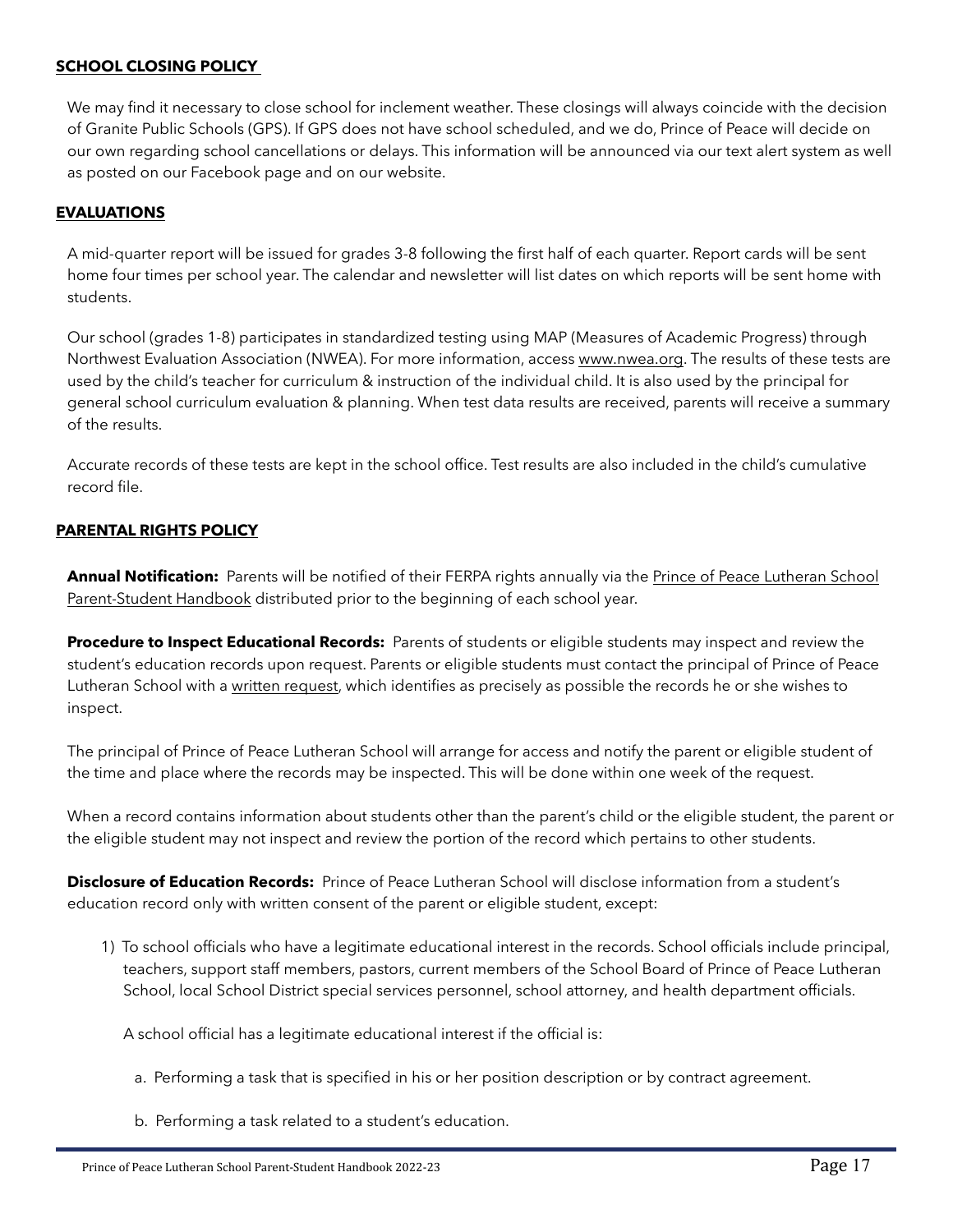#### <span id="page-16-0"></span>**SCHOOL CLOSING POLICY**

We may find it necessary to close school for inclement weather. These closings will always coincide with the decision of Granite Public Schools (GPS). If GPS does not have school scheduled, and we do, Prince of Peace will decide on our own regarding school cancellations or delays. This information will be announced via our text alert system as well as posted on our Facebook page and on our website.

#### <span id="page-16-1"></span>**EVALUATIONS**

A mid-quarter report will be issued for grades 3-8 following the first half of each quarter. Report cards will be sent home four times per school year. The calendar and newsletter will list dates on which reports will be sent home with students.

Our school (grades 1-8) participates in standardized testing using MAP (Measures of Academic Progress) through Northwest Evaluation Association (NWEA). For more information, access [www.nwea.org](http://www.nwea.org). The results of these tests are used by the child's teacher for curriculum & instruction of the individual child. It is also used by the principal for general school curriculum evaluation & planning. When test data results are received, parents will receive a summary of the results.

Accurate records of these tests are kept in the school office. Test results are also included in the child's cumulative record file.

#### <span id="page-16-2"></span>**PARENTAL RIGHTS POLICY**

**Annual Notification:** Parents will be notified of their FERPA rights annually via the Prince of Peace Lutheran School Parent-Student Handbook distributed prior to the beginning of each school year.

**Procedure to Inspect Educational Records:** Parents of students or eligible students may inspect and review the student's education records upon request. Parents or eligible students must contact the principal of Prince of Peace Lutheran School with a written request, which identifies as precisely as possible the records he or she wishes to inspect.

The principal of Prince of Peace Lutheran School will arrange for access and notify the parent or eligible student of the time and place where the records may be inspected. This will be done within one week of the request.

When a record contains information about students other than the parent's child or the eligible student, the parent or the eligible student may not inspect and review the portion of the record which pertains to other students.

**Disclosure of Education Records:** Prince of Peace Lutheran School will disclose information from a student's education record only with written consent of the parent or eligible student, except:

1) To school officials who have a legitimate educational interest in the records. School officials include principal, teachers, support staff members, pastors, current members of the School Board of Prince of Peace Lutheran School, local School District special services personnel, school attorney, and health department officials.

A school official has a legitimate educational interest if the official is:

- a. Performing a task that is specified in his or her position description or by contract agreement.
- b. Performing a task related to a student's education.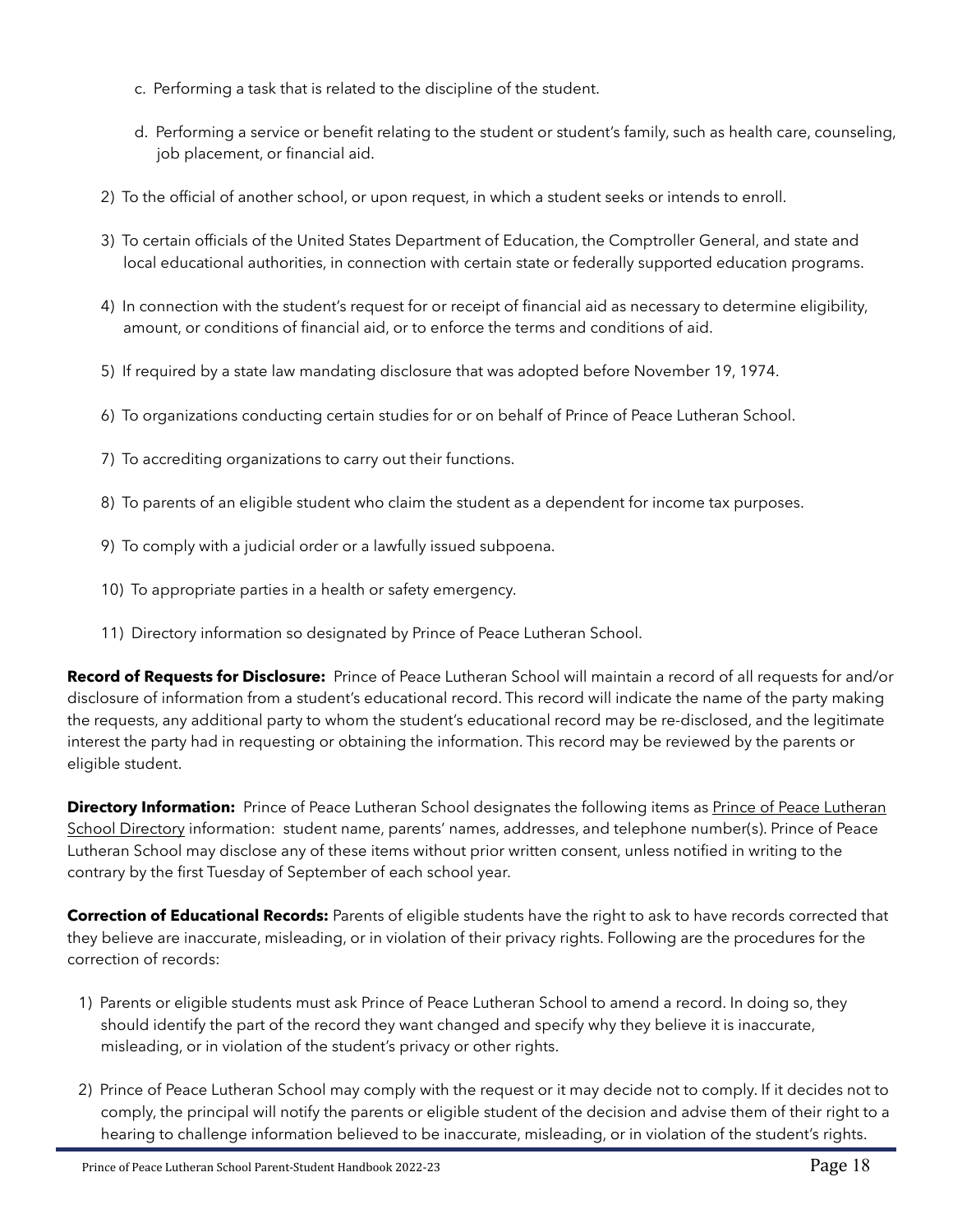- c. Performing a task that is related to the discipline of the student.
- d. Performing a service or benefit relating to the student or student's family, such as health care, counseling, job placement, or financial aid.
- 2) To the official of another school, or upon request, in which a student seeks or intends to enroll.
- 3) To certain officials of the United States Department of Education, the Comptroller General, and state and local educational authorities, in connection with certain state or federally supported education programs.
- 4) In connection with the student's request for or receipt of financial aid as necessary to determine eligibility, amount, or conditions of financial aid, or to enforce the terms and conditions of aid.
- 5) If required by a state law mandating disclosure that was adopted before November 19, 1974.
- 6) To organizations conducting certain studies for or on behalf of Prince of Peace Lutheran School.
- 7) To accrediting organizations to carry out their functions.
- 8) To parents of an eligible student who claim the student as a dependent for income tax purposes.
- 9) To comply with a judicial order or a lawfully issued subpoena.
- 10) To appropriate parties in a health or safety emergency.
- 11) Directory information so designated by Prince of Peace Lutheran School.

**Record of Requests for Disclosure:** Prince of Peace Lutheran School will maintain a record of all requests for and/or disclosure of information from a student's educational record. This record will indicate the name of the party making the requests, any additional party to whom the student's educational record may be re-disclosed, and the legitimate interest the party had in requesting or obtaining the information. This record may be reviewed by the parents or eligible student.

**Directory Information:** Prince of Peace Lutheran School designates the following items as Prince of Peace Lutheran School Directory information: student name, parents' names, addresses, and telephone number(s). Prince of Peace Lutheran School may disclose any of these items without prior written consent, unless notified in writing to the contrary by the first Tuesday of September of each school year.

**Correction of Educational Records:** Parents of eligible students have the right to ask to have records corrected that they believe are inaccurate, misleading, or in violation of their privacy rights. Following are the procedures for the correction of records:

- 1) Parents or eligible students must ask Prince of Peace Lutheran School to amend a record. In doing so, they should identify the part of the record they want changed and specify why they believe it is inaccurate, misleading, or in violation of the student's privacy or other rights.
- 2) Prince of Peace Lutheran School may comply with the request or it may decide not to comply. If it decides not to comply, the principal will notify the parents or eligible student of the decision and advise them of their right to a hearing to challenge information believed to be inaccurate, misleading, or in violation of the student's rights.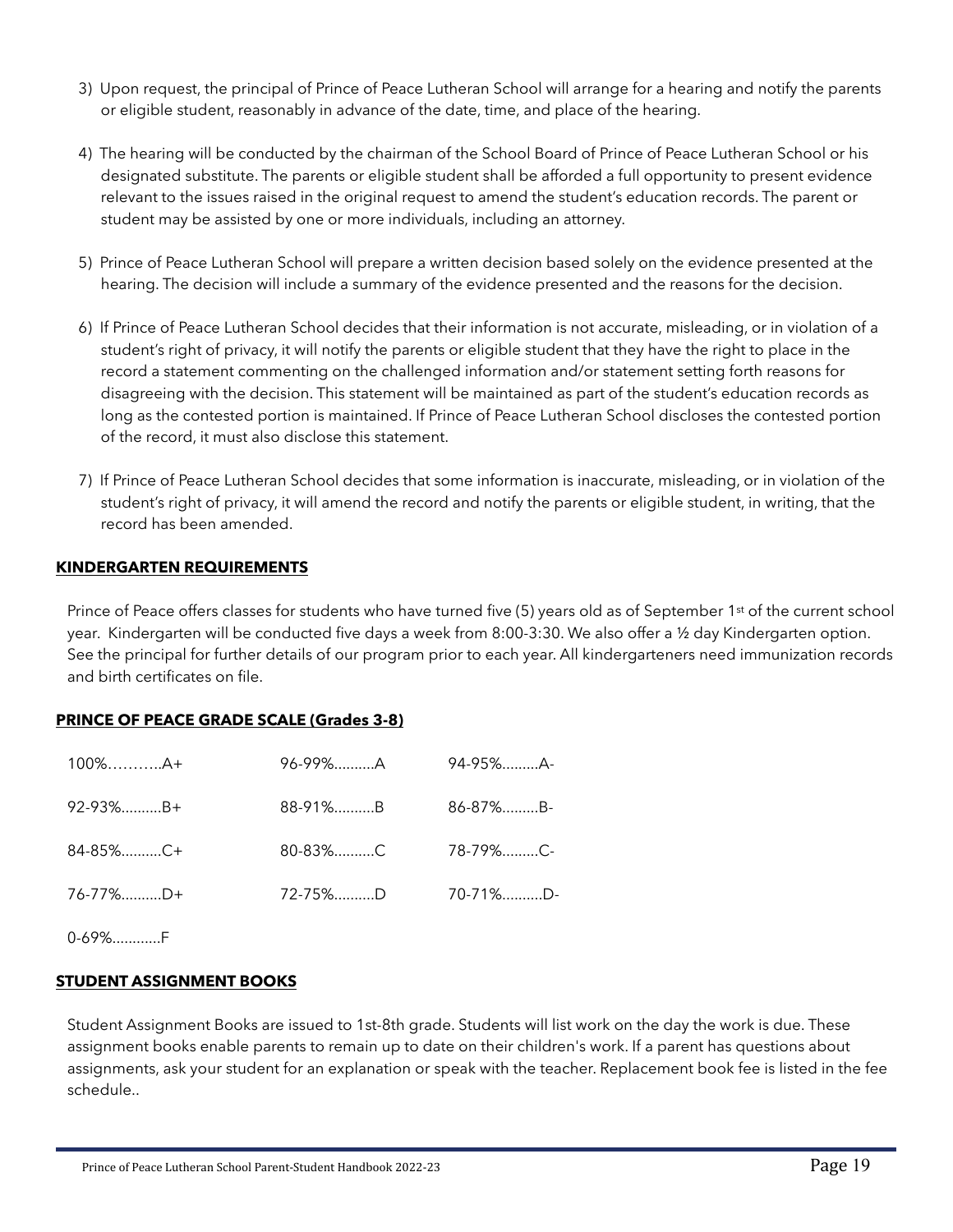- 3) Upon request, the principal of Prince of Peace Lutheran School will arrange for a hearing and notify the parents or eligible student, reasonably in advance of the date, time, and place of the hearing.
- 4) The hearing will be conducted by the chairman of the School Board of Prince of Peace Lutheran School or his designated substitute. The parents or eligible student shall be afforded a full opportunity to present evidence relevant to the issues raised in the original request to amend the student's education records. The parent or student may be assisted by one or more individuals, including an attorney.
- 5) Prince of Peace Lutheran School will prepare a written decision based solely on the evidence presented at the hearing. The decision will include a summary of the evidence presented and the reasons for the decision.
- 6) If Prince of Peace Lutheran School decides that their information is not accurate, misleading, or in violation of a student's right of privacy, it will notify the parents or eligible student that they have the right to place in the record a statement commenting on the challenged information and/or statement setting forth reasons for disagreeing with the decision. This statement will be maintained as part of the student's education records as long as the contested portion is maintained. If Prince of Peace Lutheran School discloses the contested portion of the record, it must also disclose this statement.
- 7) If Prince of Peace Lutheran School decides that some information is inaccurate, misleading, or in violation of the student's right of privacy, it will amend the record and notify the parents or eligible student, in writing, that the record has been amended.

#### <span id="page-18-0"></span>**KINDERGARTEN REQUIREMENTS**

Prince of Peace offers classes for students who have turned five (5) years old as of September 1st of the current school year. Kindergarten will be conducted five days a week from 8:00-3:30. We also offer a ½ day Kindergarten option. See the principal for further details of our program prior to each year. All kindergarteners need immunization records and birth certificates on file.

#### <span id="page-18-1"></span>**PRINCE OF PEACE GRADE SCALE (Grades 3-8)**

| $100\%$ $A+$ | 96-99%A | 94-95%A-       |
|--------------|---------|----------------|
| 92-93%B+     | 88-91%B | $86 - 87\%$ B- |
| 84-85%C+     | 80-83%C | 78-79%C-       |
| 76-77%D+     | 72-75%D | $70 - 71\%$ D  |
|              |         |                |

 $0.69%$  F

#### <span id="page-18-2"></span>**STUDENT ASSIGNMENT BOOKS**

Student Assignment Books are issued to 1st-8th grade. Students will list work on the day the work is due. These assignment books enable parents to remain up to date on their children's work. If a parent has questions about assignments, ask your student for an explanation or speak with the teacher. Replacement book fee is listed in the fee schedule..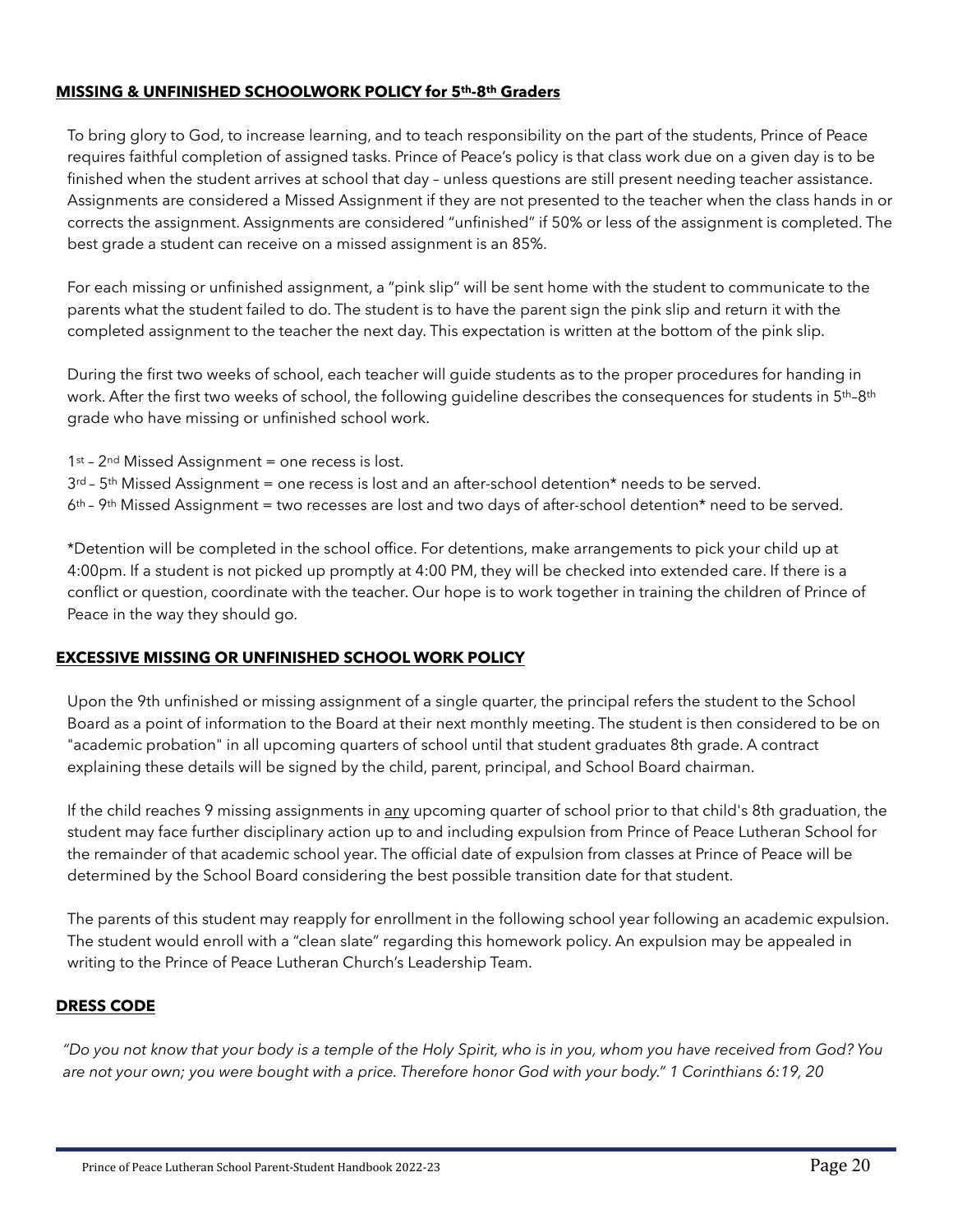#### <span id="page-19-0"></span>**MISSING & UNFINISHED SCHOOLWORK POLICY for 5th-8th Graders**

To bring glory to God, to increase learning, and to teach responsibility on the part of the students, Prince of Peace requires faithful completion of assigned tasks. Prince of Peace's policy is that class work due on a given day is to be finished when the student arrives at school that day – unless questions are still present needing teacher assistance. Assignments are considered a Missed Assignment if they are not presented to the teacher when the class hands in or corrects the assignment. Assignments are considered "unfinished" if 50% or less of the assignment is completed. The best grade a student can receive on a missed assignment is an 85%.

For each missing or unfinished assignment, a "pink slip" will be sent home with the student to communicate to the parents what the student failed to do. The student is to have the parent sign the pink slip and return it with the completed assignment to the teacher the next day. This expectation is written at the bottom of the pink slip.

During the first two weeks of school, each teacher will guide students as to the proper procedures for handing in work. After the first two weeks of school, the following guideline describes the consequences for students in 5<sup>th</sup>-8<sup>th</sup> grade who have missing or unfinished school work.

- 1st 2<sup>nd</sup> Missed Assignment = one recess is lost.
- $3^{rd}$   $5^{th}$  Missed Assignment = one recess is lost and an after-school detention\* needs to be served.

 $6<sup>th</sup>$  – 9<sup>th</sup> Missed Assignment = two recesses are lost and two days of after-school detention\* need to be served.

\*Detention will be completed in the school office. For detentions, make arrangements to pick your child up at 4:00pm. If a student is not picked up promptly at 4:00 PM, they will be checked into extended care. If there is a conflict or question, coordinate with the teacher. Our hope is to work together in training the children of Prince of Peace in the way they should go.

#### <span id="page-19-1"></span>**EXCESSIVE MISSING OR UNFINISHED SCHOOL WORK POLICY**

Upon the 9th unfinished or missing assignment of a single quarter, the principal refers the student to the School Board as a point of information to the Board at their next monthly meeting. The student is then considered to be on "academic probation" in all upcoming quarters of school until that student graduates 8th grade. A contract explaining these details will be signed by the child, parent, principal, and School Board chairman.

If the child reaches 9 missing assignments in any upcoming quarter of school prior to that child's 8th graduation, the student may face further disciplinary action up to and including expulsion from Prince of Peace Lutheran School for the remainder of that academic school year. The official date of expulsion from classes at Prince of Peace will be determined by the School Board considering the best possible transition date for that student.

The parents of this student may reapply for enrollment in the following school year following an academic expulsion. The student would enroll with a "clean slate" regarding this homework policy. An expulsion may be appealed in writing to the Prince of Peace Lutheran Church's Leadership Team.

#### <span id="page-19-2"></span>**DRESS CODE**

*"Do you not know that your body is a temple of the Holy Spirit, who is in you, whom you have received from God? You are not your own; you were bought with a price. Therefore honor God with your body." 1 Corinthians 6:19, 20*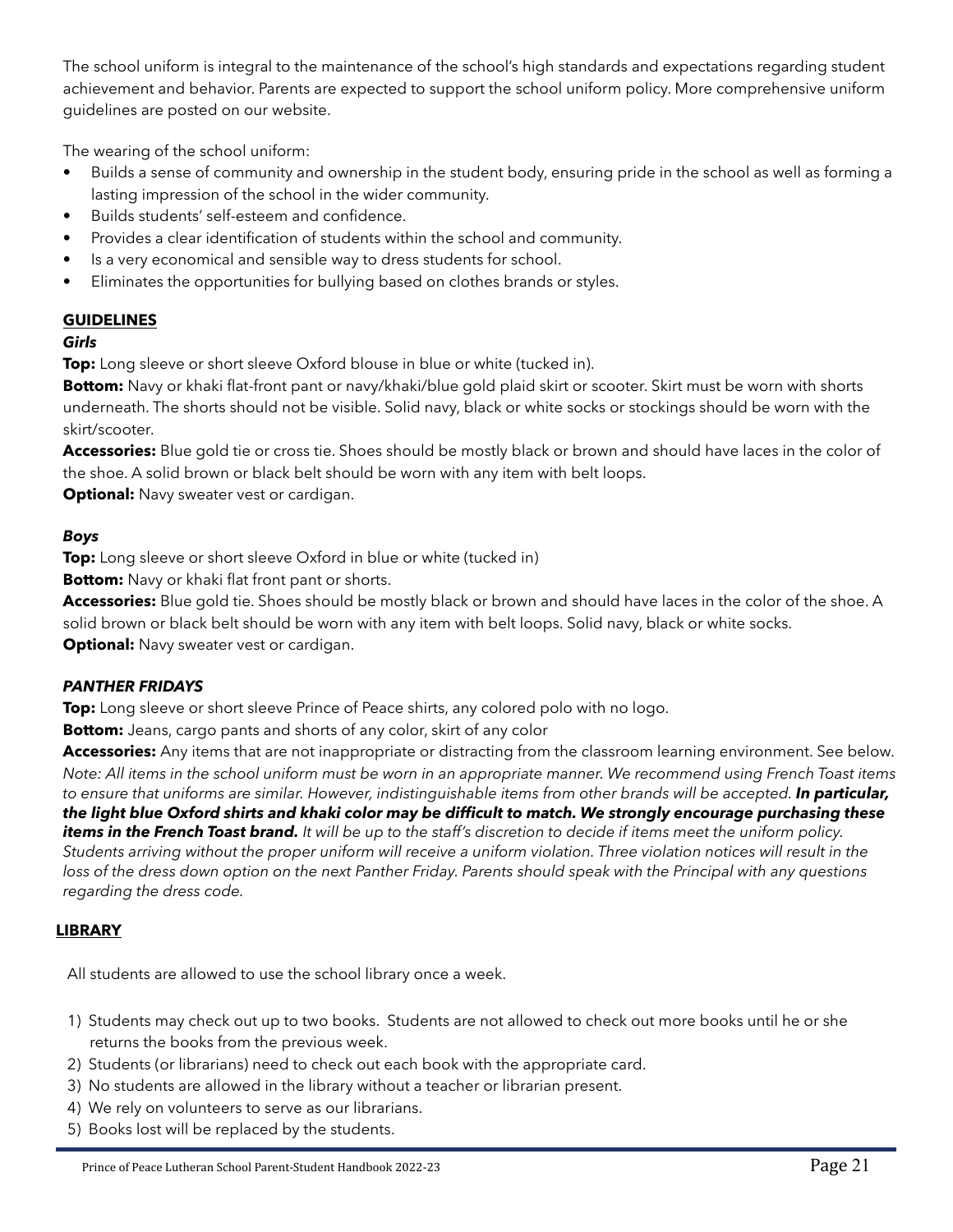The school uniform is integral to the maintenance of the school's high standards and expectations regarding student achievement and behavior. Parents are expected to support the school uniform policy. More comprehensive uniform guidelines are posted on our website.

The wearing of the school uniform:

- Builds a sense of community and ownership in the student body, ensuring pride in the school as well as forming a lasting impression of the school in the wider community.
- Builds students' self-esteem and confidence.
- Provides a clear identification of students within the school and community.
- Is a very economical and sensible way to dress students for school.
- Eliminates the opportunities for bullying based on clothes brands or styles.

# **GUIDELINES**

#### *Girls*

**Top:** Long sleeve or short sleeve Oxford blouse in blue or white (tucked in).

**Bottom:** Navy or khaki flat-front pant or navy/khaki/blue gold plaid skirt or scooter. Skirt must be worn with shorts underneath. The shorts should not be visible. Solid navy, black or white socks or stockings should be worn with the skirt/scooter.

**Accessories:** Blue gold tie or cross tie. Shoes should be mostly black or brown and should have laces in the color of the shoe. A solid brown or black belt should be worn with any item with belt loops.

**Optional:** Navy sweater vest or cardigan.

#### *Boys*

**Top:** Long sleeve or short sleeve Oxford in blue or white (tucked in)

**Bottom:** Navy or khaki flat front pant or shorts.

**Accessories:** Blue gold tie. Shoes should be mostly black or brown and should have laces in the color of the shoe. A solid brown or black belt should be worn with any item with belt loops. Solid navy, black or white socks.

**Optional:** Navy sweater vest or cardigan.

#### *PANTHER FRIDAYS*

**Top:** Long sleeve or short sleeve Prince of Peace shirts, any colored polo with no logo.

**Bottom:** Jeans, cargo pants and shorts of any color, skirt of any color

**Accessories:** Any items that are not inappropriate or distracting from the classroom learning environment. See below. *Note: All items in the school uniform must be worn in an appropriate manner. We recommend using French Toast items to ensure that uniforms are similar. However, indistinguishable items from other brands will be accepted. In particular, the light blue Oxford shirts and khaki color may be difficult to match. We strongly encourage purchasing these items in the French Toast brand. It will be up to the staff's discretion to decide if items meet the uniform policy. Students arriving without the proper uniform will receive a uniform violation. Three violation notices will result in the*  loss of the dress down option on the next Panther Friday. Parents should speak with the Principal with any questions *regarding the dress code.* 

#### <span id="page-20-0"></span>**LIBRARY**

All students are allowed to use the school library once a week.

- 1) Students may check out up to two books. Students are not allowed to check out more books until he or she returns the books from the previous week.
- 2) Students (or librarians) need to check out each book with the appropriate card.
- 3) No students are allowed in the library without a teacher or librarian present.
- 4) We rely on volunteers to serve as our librarians.
- 5) Books lost will be replaced by the students.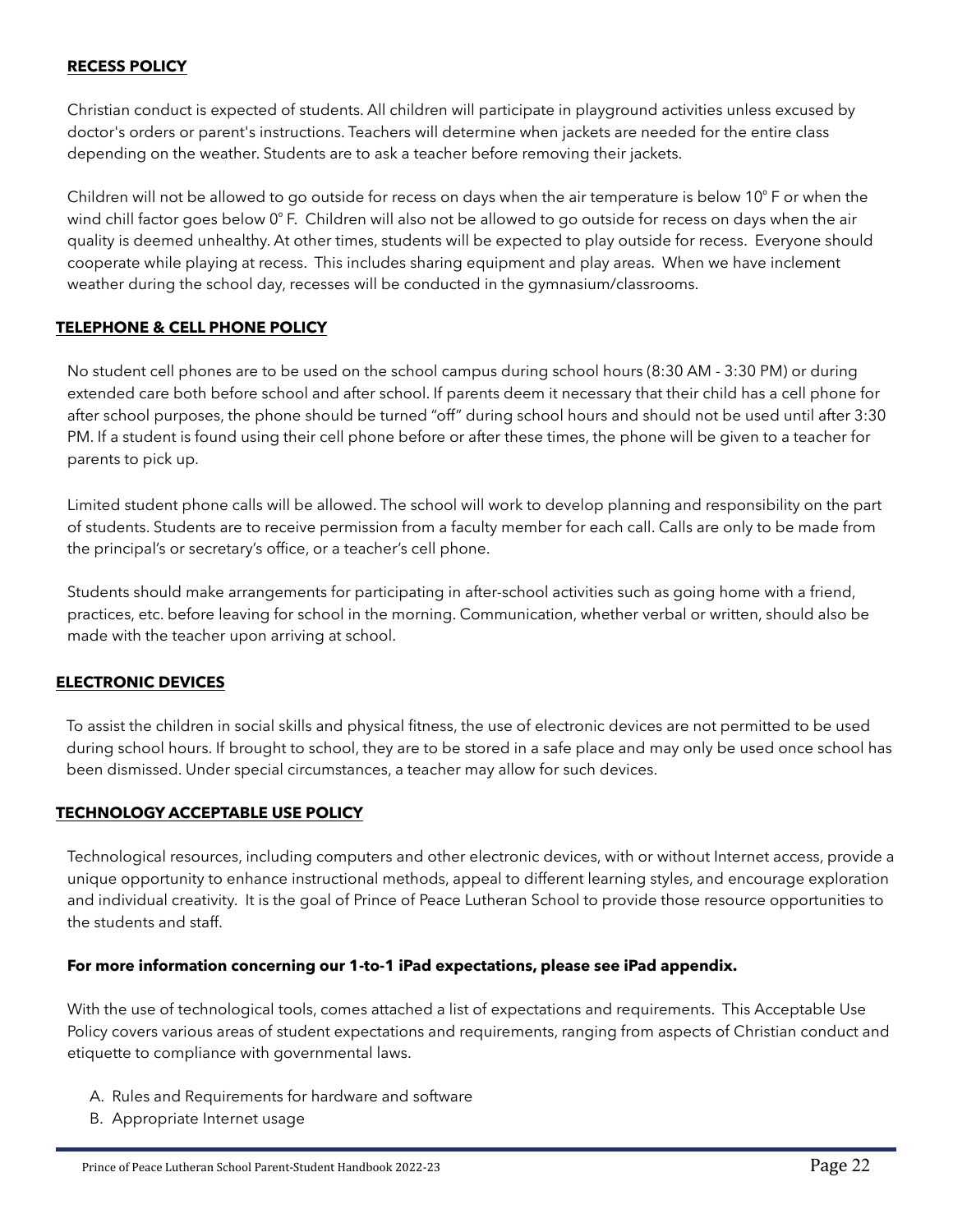#### <span id="page-21-0"></span>**RECESS POLICY**

Christian conduct is expected of students. All children will participate in playground activities unless excused by doctor's orders or parent's instructions. Teachers will determine when jackets are needed for the entire class depending on the weather. Students are to ask a teacher before removing their jackets.

Children will not be allowed to go outside for recess on days when the air temperature is below 10 $\degree$  F or when the wind chill factor goes below 0°F. Children will also not be allowed to go outside for recess on days when the air quality is deemed unhealthy. At other times, students will be expected to play outside for recess. Everyone should cooperate while playing at recess. This includes sharing equipment and play areas. When we have inclement weather during the school day, recesses will be conducted in the gymnasium/classrooms.

#### <span id="page-21-1"></span>**TELEPHONE & CELL PHONE POLICY**

No student cell phones are to be used on the school campus during school hours (8:30 AM - 3:30 PM) or during extended care both before school and after school. If parents deem it necessary that their child has a cell phone for after school purposes, the phone should be turned "off" during school hours and should not be used until after 3:30 PM. If a student is found using their cell phone before or after these times, the phone will be given to a teacher for parents to pick up.

Limited student phone calls will be allowed. The school will work to develop planning and responsibility on the part of students. Students are to receive permission from a faculty member for each call. Calls are only to be made from the principal's or secretary's office, or a teacher's cell phone.

Students should make arrangements for participating in after-school activities such as going home with a friend, practices, etc. before leaving for school in the morning. Communication, whether verbal or written, should also be made with the teacher upon arriving at school.

#### <span id="page-21-2"></span>**ELECTRONIC DEVICES**

To assist the children in social skills and physical fitness, the use of electronic devices are not permitted to be used during school hours. If brought to school, they are to be stored in a safe place and may only be used once school has been dismissed. Under special circumstances, a teacher may allow for such devices.

#### <span id="page-21-3"></span>**TECHNOLOGY ACCEPTABLE USE POLICY**

Technological resources, including computers and other electronic devices, with or without Internet access, provide a unique opportunity to enhance instructional methods, appeal to different learning styles, and encourage exploration and individual creativity. It is the goal of Prince of Peace Lutheran School to provide those resource opportunities to the students and staff.

#### **For more information concerning our 1-to-1 iPad expectations, please see iPad appendix.**

With the use of technological tools, comes attached a list of expectations and requirements. This Acceptable Use Policy covers various areas of student expectations and requirements, ranging from aspects of Christian conduct and etiquette to compliance with governmental laws.

- A. Rules and Requirements for hardware and software
- B. Appropriate Internet usage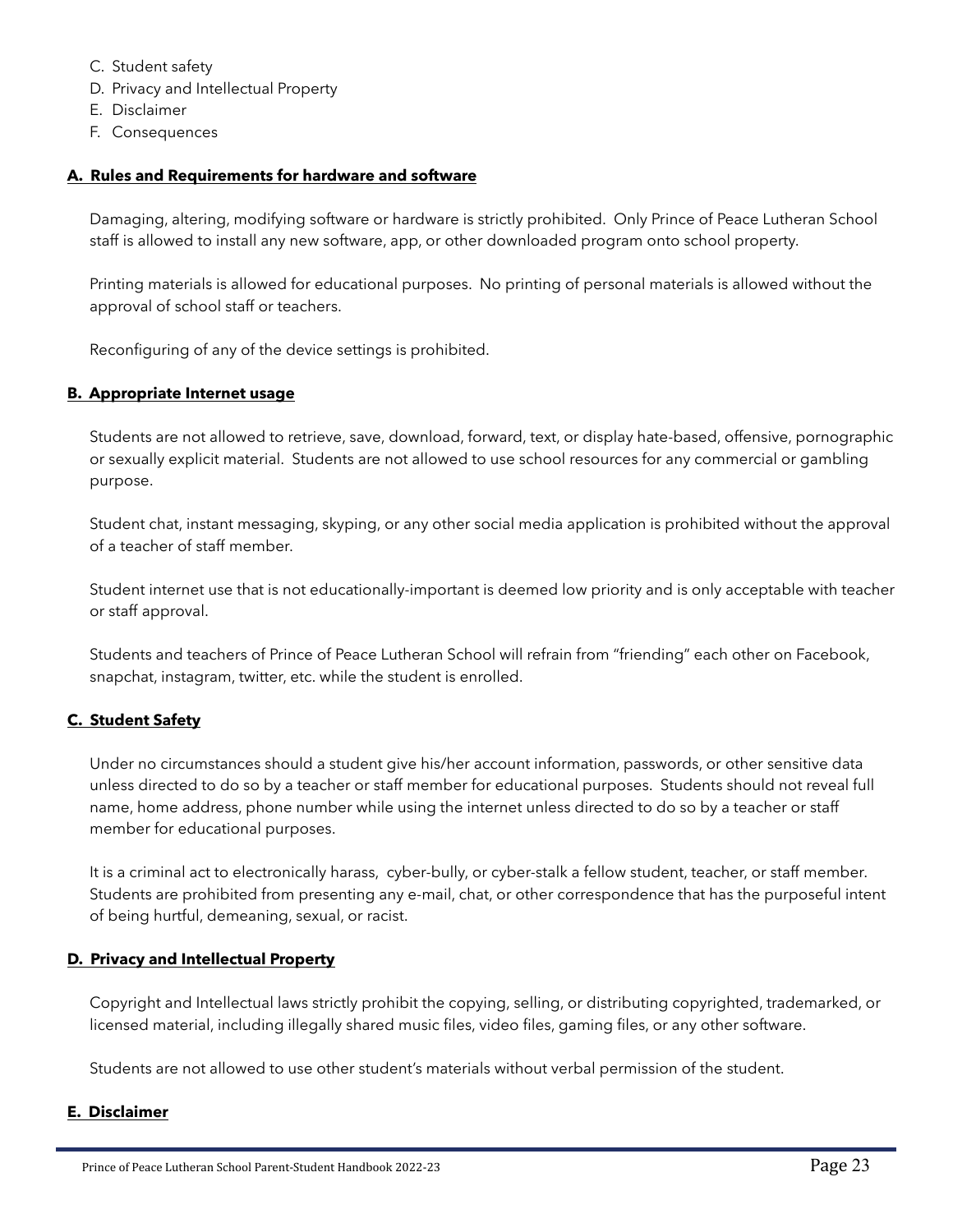- C. Student safety
- D. Privacy and Intellectual Property
- E. Disclaimer
- F. Consequences

#### **A. Rules and Requirements for hardware and software**

Damaging, altering, modifying software or hardware is strictly prohibited. Only Prince of Peace Lutheran School staff is allowed to install any new software, app, or other downloaded program onto school property.

Printing materials is allowed for educational purposes. No printing of personal materials is allowed without the approval of school staff or teachers.

Reconfiguring of any of the device settings is prohibited.

#### **B. Appropriate Internet usage**

Students are not allowed to retrieve, save, download, forward, text, or display hate-based, offensive, pornographic or sexually explicit material. Students are not allowed to use school resources for any commercial or gambling purpose.

Student chat, instant messaging, skyping, or any other social media application is prohibited without the approval of a teacher of staff member.

Student internet use that is not educationally-important is deemed low priority and is only acceptable with teacher or staff approval.

Students and teachers of Prince of Peace Lutheran School will refrain from "friending" each other on Facebook, snapchat, instagram, twitter, etc. while the student is enrolled.

#### **C. Student Safety**

Under no circumstances should a student give his/her account information, passwords, or other sensitive data unless directed to do so by a teacher or staff member for educational purposes. Students should not reveal full name, home address, phone number while using the internet unless directed to do so by a teacher or staff member for educational purposes.

It is a criminal act to electronically harass, cyber-bully, or cyber-stalk a fellow student, teacher, or staff member. Students are prohibited from presenting any e-mail, chat, or other correspondence that has the purposeful intent of being hurtful, demeaning, sexual, or racist.

#### **D. Privacy and Intellectual Property**

Copyright and Intellectual laws strictly prohibit the copying, selling, or distributing copyrighted, trademarked, or licensed material, including illegally shared music files, video files, gaming files, or any other software.

Students are not allowed to use other student's materials without verbal permission of the student.

#### **E. Disclaimer**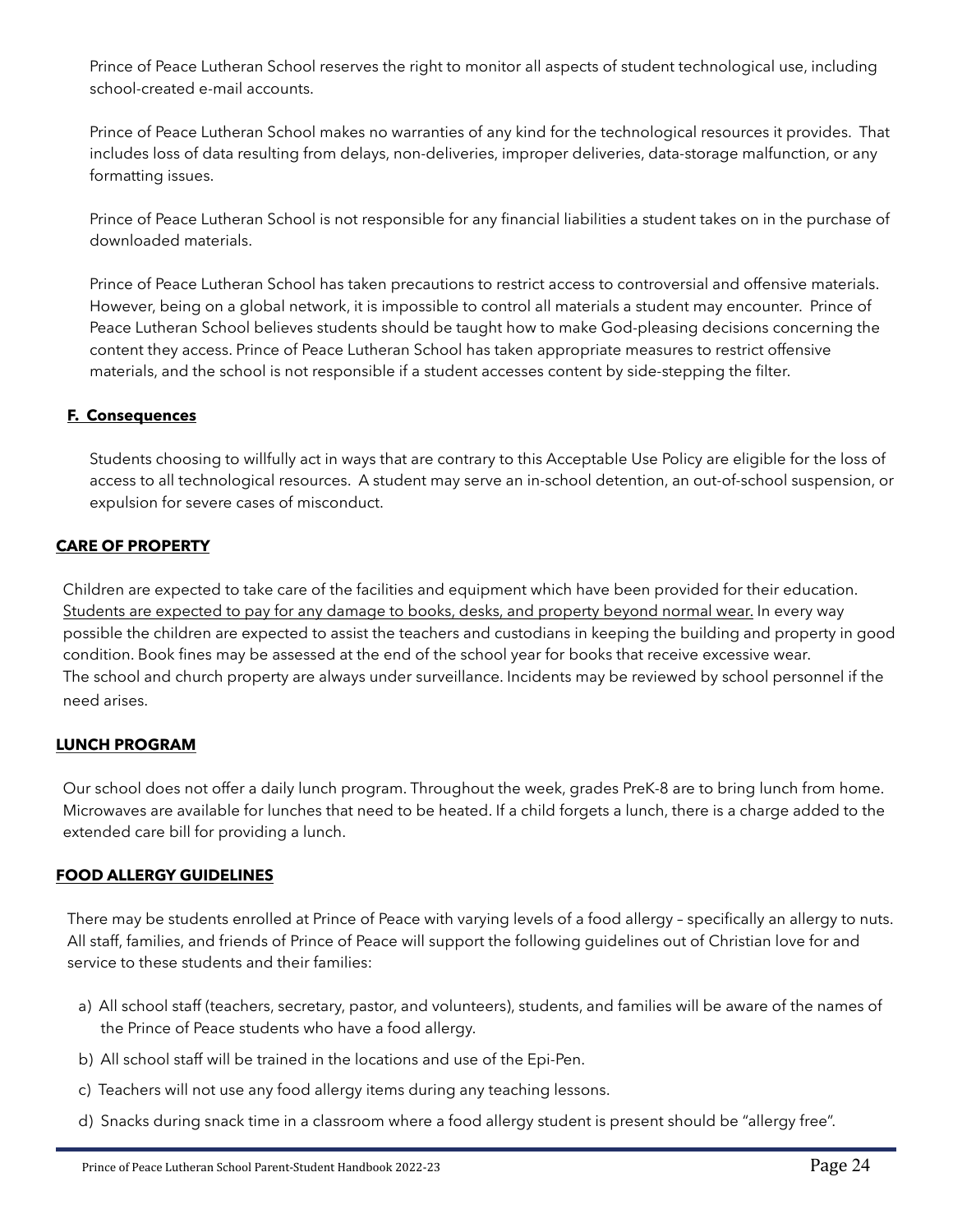Prince of Peace Lutheran School reserves the right to monitor all aspects of student technological use, including school-created e-mail accounts.

Prince of Peace Lutheran School makes no warranties of any kind for the technological resources it provides. That includes loss of data resulting from delays, non-deliveries, improper deliveries, data-storage malfunction, or any formatting issues.

Prince of Peace Lutheran School is not responsible for any financial liabilities a student takes on in the purchase of downloaded materials.

Prince of Peace Lutheran School has taken precautions to restrict access to controversial and offensive materials. However, being on a global network, it is impossible to control all materials a student may encounter. Prince of Peace Lutheran School believes students should be taught how to make God-pleasing decisions concerning the content they access. Prince of Peace Lutheran School has taken appropriate measures to restrict offensive materials, and the school is not responsible if a student accesses content by side-stepping the filter.

# **F. Consequences**

Students choosing to willfully act in ways that are contrary to this Acceptable Use Policy are eligible for the loss of access to all technological resources. A student may serve an in-school detention, an out-of-school suspension, or expulsion for severe cases of misconduct.

# <span id="page-23-0"></span>**CARE OF PROPERTY**

Children are expected to take care of the facilities and equipment which have been provided for their education. Students are expected to pay for any damage to books, desks, and property beyond normal wear. In every way possible the children are expected to assist the teachers and custodians in keeping the building and property in good condition. Book fines may be assessed at the end of the school year for books that receive excessive wear. The school and church property are always under surveillance. Incidents may be reviewed by school personnel if the need arises.

#### <span id="page-23-1"></span>**LUNCH PROGRAM**

Our school does not offer a daily lunch program. Throughout the week, grades PreK-8 are to bring lunch from home. Microwaves are available for lunches that need to be heated. If a child forgets a lunch, there is a charge added to the extended care bill for providing a lunch.

#### <span id="page-23-2"></span>**FOOD ALLERGY GUIDELINES**

There may be students enrolled at Prince of Peace with varying levels of a food allergy – specifically an allergy to nuts. All staff, families, and friends of Prince of Peace will support the following guidelines out of Christian love for and service to these students and their families:

- a) All school staff (teachers, secretary, pastor, and volunteers), students, and families will be aware of the names of the Prince of Peace students who have a food allergy.
- b) All school staff will be trained in the locations and use of the Epi-Pen.
- c) Teachers will not use any food allergy items during any teaching lessons.
- d) Snacks during snack time in a classroom where a food allergy student is present should be "allergy free".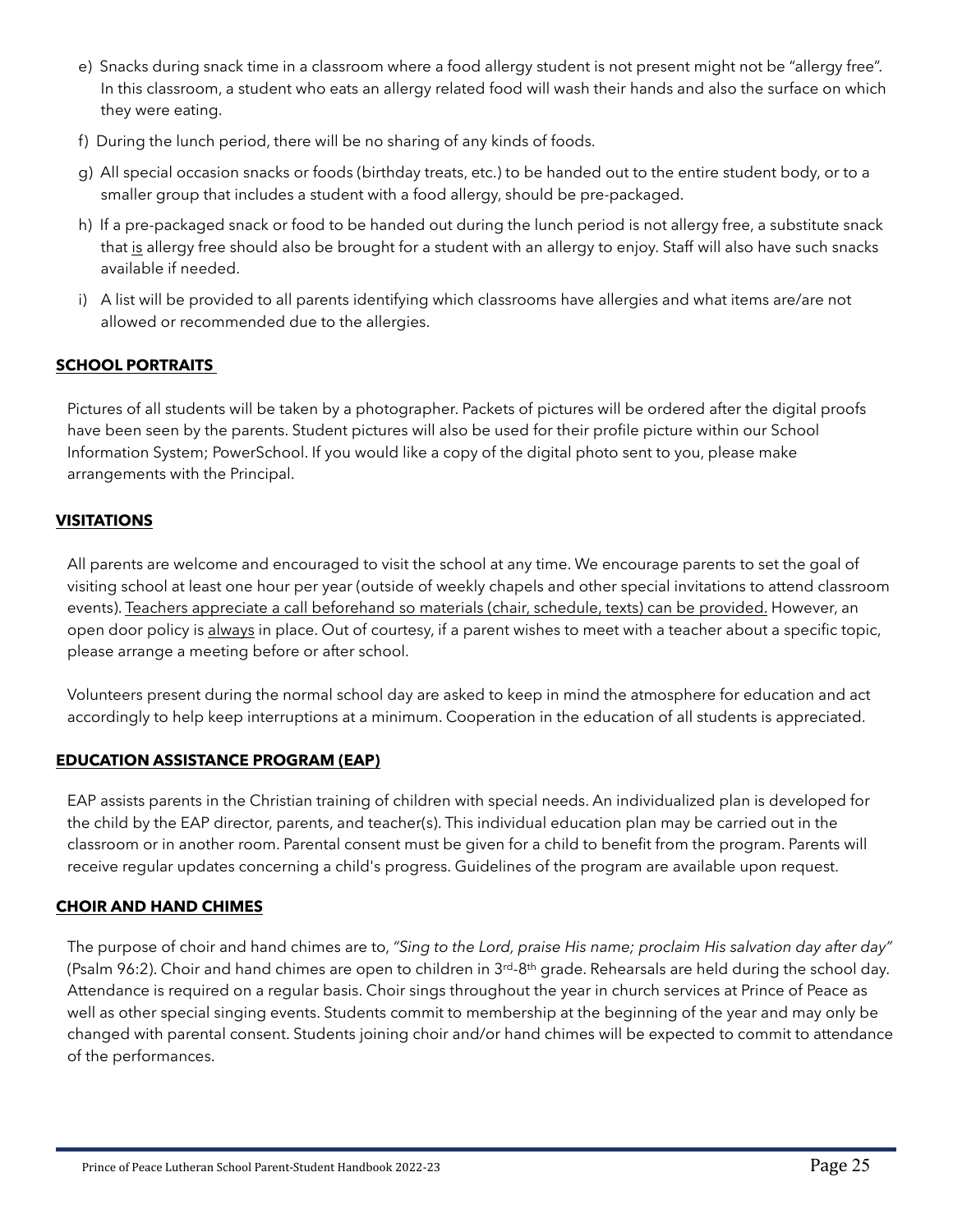- e) Snacks during snack time in a classroom where a food allergy student is not present might not be "allergy free". In this classroom, a student who eats an allergy related food will wash their hands and also the surface on which they were eating.
- f) During the lunch period, there will be no sharing of any kinds of foods.
- g) All special occasion snacks or foods (birthday treats, etc.) to be handed out to the entire student body, or to a smaller group that includes a student with a food allergy, should be pre-packaged.
- h) If a pre-packaged snack or food to be handed out during the lunch period is not allergy free, a substitute snack that is allergy free should also be brought for a student with an allergy to enjoy. Staff will also have such snacks available if needed.
- i) A list will be provided to all parents identifying which classrooms have allergies and what items are/are not allowed or recommended due to the allergies.

# <span id="page-24-0"></span>**SCHOOL PORTRAITS**

Pictures of all students will be taken by a photographer. Packets of pictures will be ordered after the digital proofs have been seen by the parents. Student pictures will also be used for their profile picture within our School Information System; PowerSchool. If you would like a copy of the digital photo sent to you, please make arrangements with the Principal.

#### <span id="page-24-1"></span>**VISITATIONS**

All parents are welcome and encouraged to visit the school at any time. We encourage parents to set the goal of visiting school at least one hour per year (outside of weekly chapels and other special invitations to attend classroom events). Teachers appreciate a call beforehand so materials (chair, schedule, texts) can be provided. However, an open door policy is always in place. Out of courtesy, if a parent wishes to meet with a teacher about a specific topic, please arrange a meeting before or after school.

Volunteers present during the normal school day are asked to keep in mind the atmosphere for education and act accordingly to help keep interruptions at a minimum. Cooperation in the education of all students is appreciated.

#### <span id="page-24-2"></span>**EDUCATION ASSISTANCE PROGRAM (EAP)**

EAP assists parents in the Christian training of children with special needs. An individualized plan is developed for the child by the EAP director, parents, and teacher(s). This individual education plan may be carried out in the classroom or in another room. Parental consent must be given for a child to benefit from the program. Parents will receive regular updates concerning a child's progress. Guidelines of the program are available upon request.

#### <span id="page-24-3"></span>**CHOIR AND HAND CHIMES**

The purpose of choir and hand chimes are to, *"Sing to the Lord, praise His name; proclaim His salvation day after day"* (Psalm 96:2). Choir and hand chimes are open to children in 3<sup>rd</sup>-8<sup>th</sup> grade. Rehearsals are held during the school day. Attendance is required on a regular basis. Choir sings throughout the year in church services at Prince of Peace as well as other special singing events. Students commit to membership at the beginning of the year and may only be changed with parental consent. Students joining choir and/or hand chimes will be expected to commit to attendance of the performances.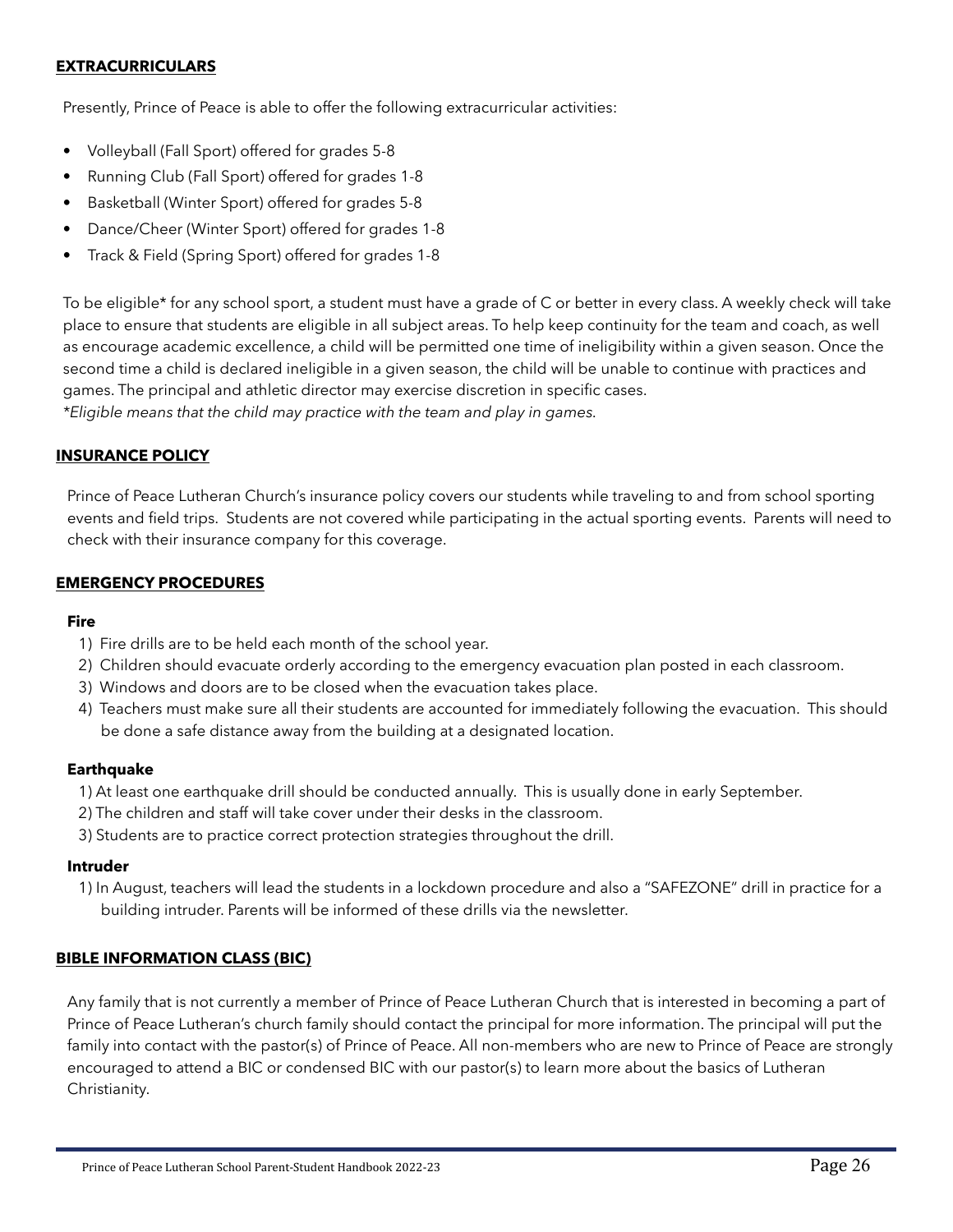#### <span id="page-25-1"></span>**EXTRACURRICULARS**

Presently, Prince of Peace is able to offer the following extracurricular activities:

- Volleyball (Fall Sport) offered for grades 5-8
- Running Club (Fall Sport) offered for grades 1-8
- Basketball (Winter Sport) offered for grades 5-8
- Dance/Cheer (Winter Sport) offered for grades 1-8
- Track & Field (Spring Sport) offered for grades 1-8

To be eligible\* for any school sport, a student must have a grade of C or better in every class. A weekly check will take place to ensure that students are eligible in all subject areas. To help keep continuity for the team and coach, as well as encourage academic excellence, a child will be permitted one time of ineligibility within a given season. Once the second time a child is declared ineligible in a given season, the child will be unable to continue with practices and games. The principal and athletic director may exercise discretion in specific cases.

*\*Eligible means that the child may practice with the team and play in games.*

#### <span id="page-25-0"></span>**INSURANCE POLICY**

Prince of Peace Lutheran Church's insurance policy covers our students while traveling to and from school sporting events and field trips. Students are not covered while participating in the actual sporting events. Parents will need to check with their insurance company for this coverage.

#### <span id="page-25-2"></span>**EMERGENCY PROCEDURES**

#### **Fire**

- 1) Fire drills are to be held each month of the school year.
- 2) Children should evacuate orderly according to the emergency evacuation plan posted in each classroom.
- 3) Windows and doors are to be closed when the evacuation takes place.
- 4) Teachers must make sure all their students are accounted for immediately following the evacuation. This should be done a safe distance away from the building at a designated location.

#### **Earthquake**

- 1) At least one earthquake drill should be conducted annually. This is usually done in early September.
- 2) The children and staff will take cover under their desks in the classroom.
- 3) Students are to practice correct protection strategies throughout the drill.

#### **Intruder**

1) In August, teachers will lead the students in a lockdown procedure and also a "SAFEZONE" drill in practice for a building intruder. Parents will be informed of these drills via the newsletter.

#### <span id="page-25-3"></span>**BIBLE INFORMATION CLASS (BIC)**

Any family that is not currently a member of Prince of Peace Lutheran Church that is interested in becoming a part of Prince of Peace Lutheran's church family should contact the principal for more information. The principal will put the family into contact with the pastor(s) of Prince of Peace. All non-members who are new to Prince of Peace are strongly encouraged to attend a BIC or condensed BIC with our pastor(s) to learn more about the basics of Lutheran Christianity.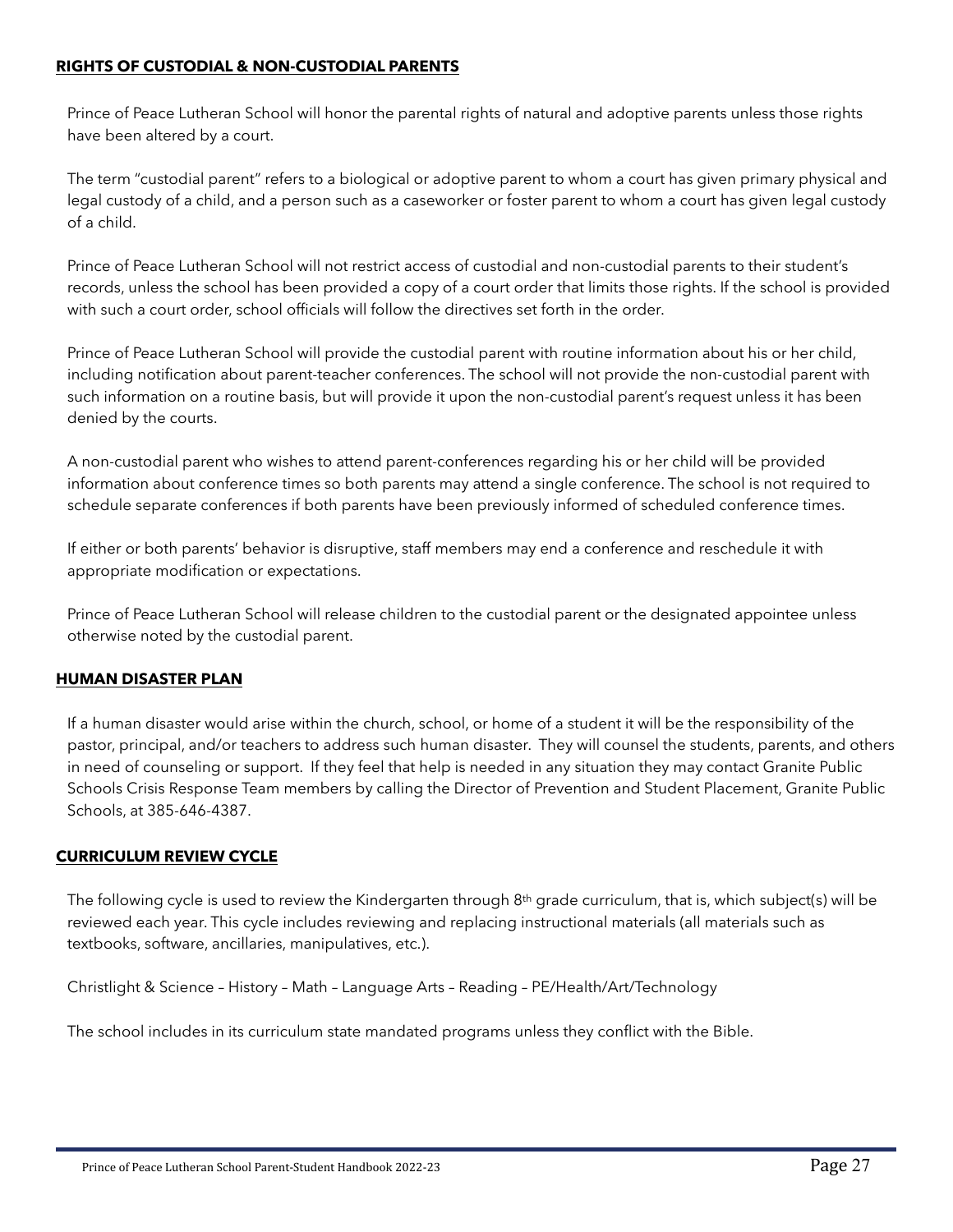#### <span id="page-26-0"></span>**RIGHTS OF CUSTODIAL & NON-CUSTODIAL PARENTS**

Prince of Peace Lutheran School will honor the parental rights of natural and adoptive parents unless those rights have been altered by a court.

The term "custodial parent" refers to a biological or adoptive parent to whom a court has given primary physical and legal custody of a child, and a person such as a caseworker or foster parent to whom a court has given legal custody of a child.

Prince of Peace Lutheran School will not restrict access of custodial and non-custodial parents to their student's records, unless the school has been provided a copy of a court order that limits those rights. If the school is provided with such a court order, school officials will follow the directives set forth in the order.

Prince of Peace Lutheran School will provide the custodial parent with routine information about his or her child, including notification about parent-teacher conferences. The school will not provide the non-custodial parent with such information on a routine basis, but will provide it upon the non-custodial parent's request unless it has been denied by the courts.

A non-custodial parent who wishes to attend parent-conferences regarding his or her child will be provided information about conference times so both parents may attend a single conference. The school is not required to schedule separate conferences if both parents have been previously informed of scheduled conference times.

If either or both parents' behavior is disruptive, staff members may end a conference and reschedule it with appropriate modification or expectations.

Prince of Peace Lutheran School will release children to the custodial parent or the designated appointee unless otherwise noted by the custodial parent.

#### <span id="page-26-1"></span>**HUMAN DISASTER PLAN**

If a human disaster would arise within the church, school, or home of a student it will be the responsibility of the pastor, principal, and/or teachers to address such human disaster. They will counsel the students, parents, and others in need of counseling or support. If they feel that help is needed in any situation they may contact Granite Public Schools Crisis Response Team members by calling the Director of Prevention and Student Placement, Granite Public Schools, at 385-646-4387.

#### <span id="page-26-2"></span>**CURRICULUM REVIEW CYCLE**

The following cycle is used to review the Kindergarten through 8th grade curriculum, that is, which subject(s) will be reviewed each year. This cycle includes reviewing and replacing instructional materials (all materials such as textbooks, software, ancillaries, manipulatives, etc.).

Christlight & Science – History – Math – Language Arts – Reading – PE/Health/Art/Technology

The school includes in its curriculum state mandated programs unless they conflict with the Bible.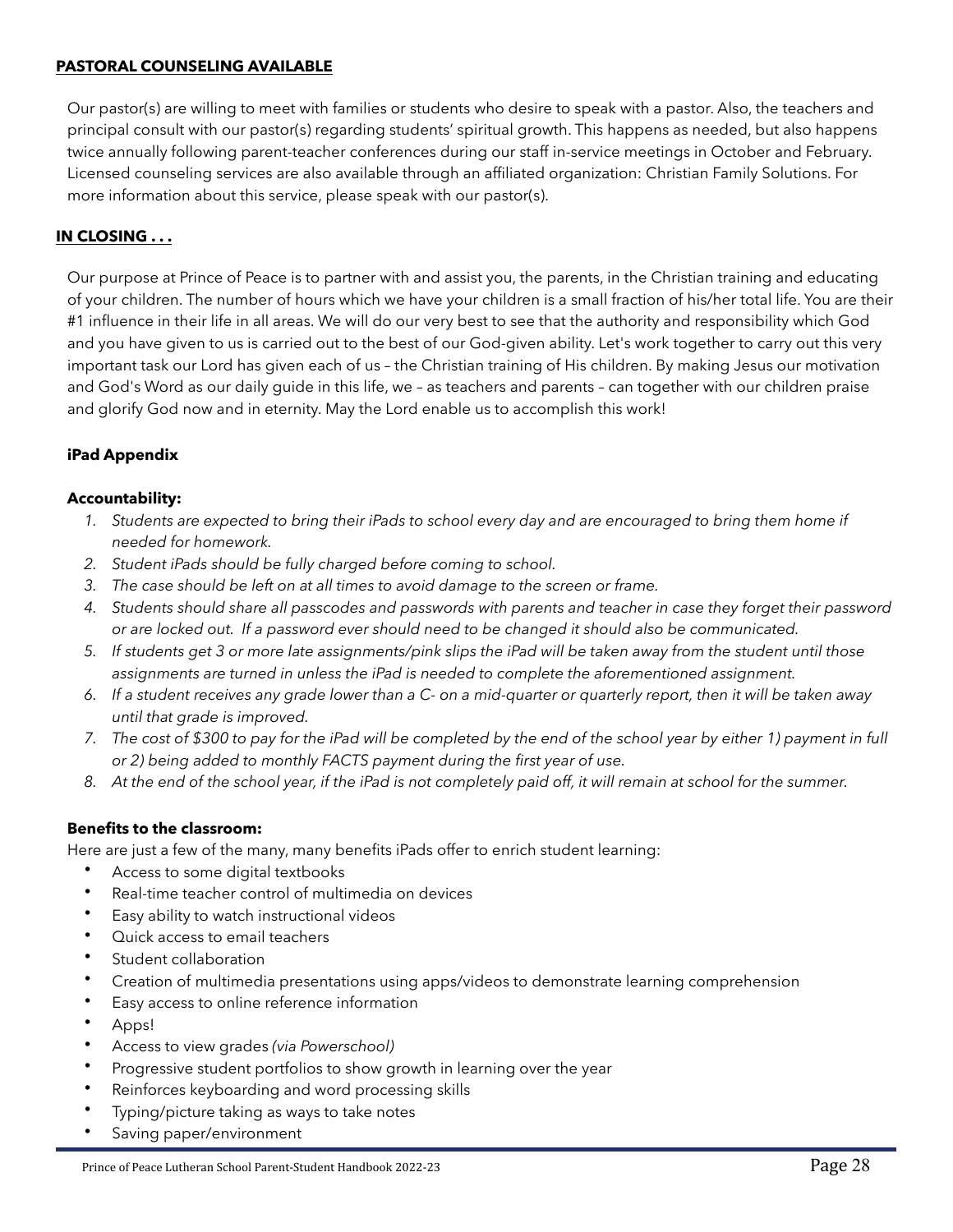#### <span id="page-27-0"></span>**PASTORAL COUNSELING AVAILABLE**

Our pastor(s) are willing to meet with families or students who desire to speak with a pastor. Also, the teachers and principal consult with our pastor(s) regarding students' spiritual growth. This happens as needed, but also happens twice annually following parent-teacher conferences during our staff in-service meetings in October and February. Licensed counseling services are also available through an affiliated organization: Christian Family Solutions. For more information about this service, please speak with our pastor(s).

#### <span id="page-27-1"></span>**IN CLOSING . . .**

Our purpose at Prince of Peace is to partner with and assist you, the parents, in the Christian training and educating of your children. The number of hours which we have your children is a small fraction of his/her total life. You are their #1 influence in their life in all areas. We will do our very best to see that the authority and responsibility which God and you have given to us is carried out to the best of our God-given ability. Let's work together to carry out this very important task our Lord has given each of us – the Christian training of His children. By making Jesus our motivation and God's Word as our daily guide in this life, we – as teachers and parents – can together with our children praise and glorify God now and in eternity. May the Lord enable us to accomplish this work!

#### <span id="page-27-2"></span>**iPad Appendix**

#### **Accountability:**

- 1. Students are expected to bring their iPads to school every day and are encouraged to bring them home if *needed for homework.*
- *2. Student iPads should be fully charged before coming to school.*
- *3. The case should be left on at all times to avoid damage to the screen or frame.*
- *4. Students should share all passcodes and passwords with parents and teacher in case they forget their password or are locked out. If a password ever should need to be changed it should also be communicated.*
- *5. If students get 3 or more late assignments/pink slips the iPad will be taken away from the student until those assignments are turned in unless the iPad is needed to complete the aforementioned assignment.*
- *6. If a student receives any grade lower than a C- on a mid-quarter or quarterly report, then it will be taken away until that grade is improved.*
- *7. The cost of \$300 to pay for the iPad will be completed by the end of the school year by either 1) payment in full or 2) being added to monthly FACTS payment during the first year of use.*
- *8. At the end of the school year, if the iPad is not completely paid off, it will remain at school for the summer.*

#### **Benefits to the classroom:**

Here are just a few of the many, many benefits iPads offer to enrich student learning:

- Access to some digital textbooks
- Real-time teacher control of multimedia on devices
- Easy ability to watch instructional videos
- Quick access to email teachers
- Student collaboration
- Creation of multimedia presentations using apps/videos to demonstrate learning comprehension
- Easy access to online reference information
- Apps!
- Access to view grades *(via Powerschool)*
- Progressive student portfolios to show growth in learning over the year
- Reinforces keyboarding and word processing skills
- Typing/picture taking as ways to take notes
- Saving paper/environment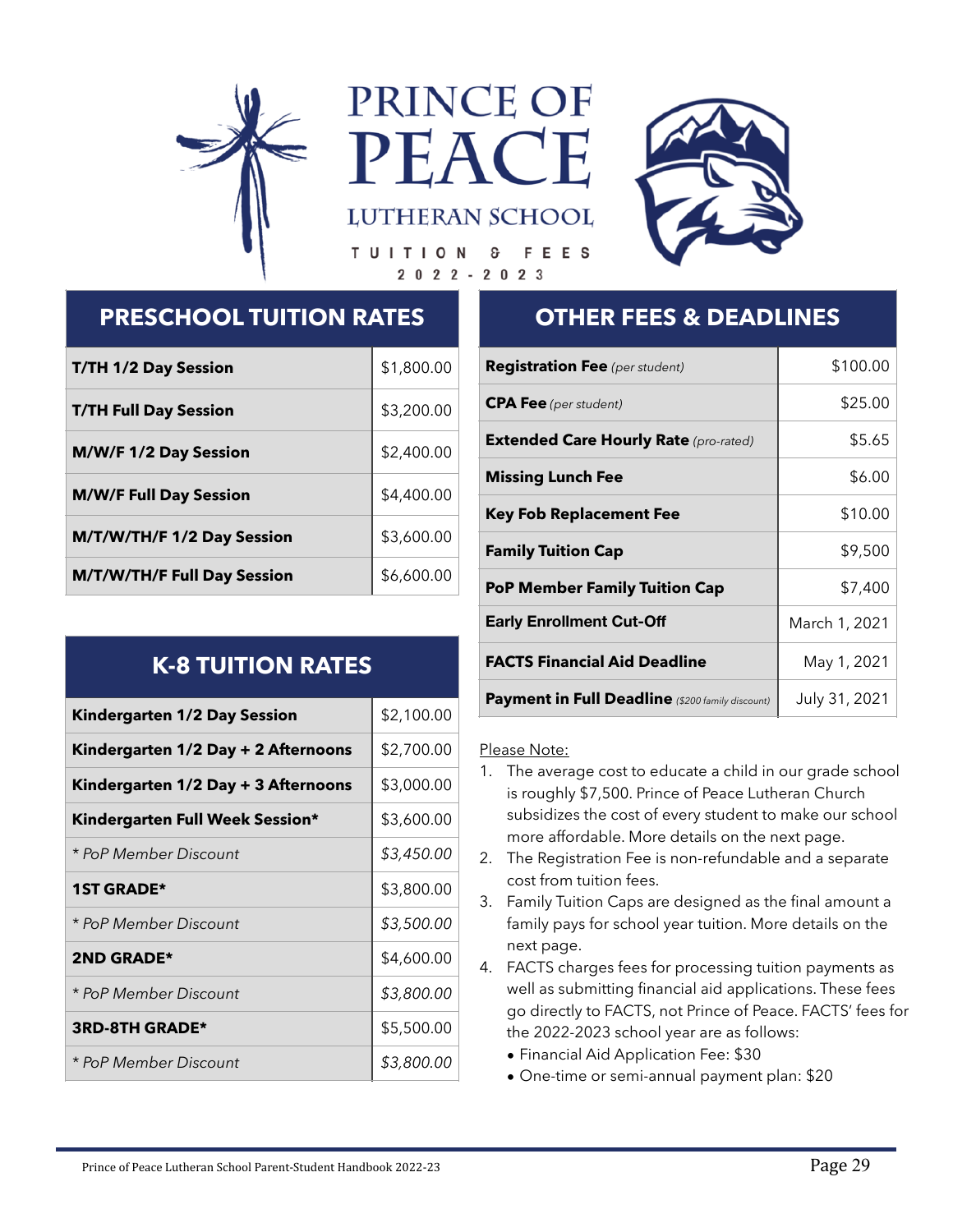<span id="page-28-0"></span>

PRINCE OF PEA



**FEES** TUITION ି ତ  $2022 - 2023$ 

**LUTHERAN SCHOOL** 

# **PRESCHOOL TUITION RATES**

| <b>T/TH 1/2 Day Session</b>        | \$1,800.00 |
|------------------------------------|------------|
| <b>T/TH Full Day Session</b>       | \$3,200.00 |
| M/W/F 1/2 Day Session              | \$2,400.00 |
| <b>M/W/F Full Day Session</b>      | \$4,400.00 |
| M/T/W/TH/F 1/2 Day Session         | \$3,600.00 |
| <b>M/T/W/TH/F Full Day Session</b> | \$6,600.00 |

# **K-8 TUITION RATES**

| <b>Kindergarten 1/2 Day Session</b> | \$2,100.00 |
|-------------------------------------|------------|
| Kindergarten 1/2 Day + 2 Afternoons | \$2,700.00 |
| Kindergarten 1/2 Day + 3 Afternoons | \$3,000.00 |
| Kindergarten Full Week Session*     | \$3,600.00 |
| * PoP Member Discount               | \$3,450.00 |
| <b>1ST GRADE*</b>                   | \$3,800.00 |
| * PoP Member Discount               | \$3,500.00 |
| <b>2ND GRADE*</b>                   | \$4,600.00 |
| * PoP Member Discount               | \$3,800.00 |
| <b>3RD-8TH GRADE*</b>               | \$5,500.00 |
| * PoP Member Discount               | \$3,800.00 |

# **OTHER FEES & DEADLINES**

| <b>Registration Fee</b> (per student)                   | \$100.00      |
|---------------------------------------------------------|---------------|
| <b>CPA Fee</b> (per student)                            | \$25.00       |
| <b>Extended Care Hourly Rate</b> (pro-rated)            | \$5.65        |
| <b>Missing Lunch Fee</b>                                | \$6.00        |
| <b>Key Fob Replacement Fee</b>                          | \$10.00       |
| <b>Family Tuition Cap</b>                               | \$9,500       |
| <b>PoP Member Family Tuition Cap</b>                    | \$7,400       |
| <b>Early Enrollment Cut-Off</b>                         | March 1, 2021 |
| <b>FACTS Financial Aid Deadline</b>                     | May 1, 2021   |
| <b>Payment in Full Deadline</b> (\$200 family discount) | July 31, 2021 |

# Please Note:

- 1. The average cost to educate a child in our grade school is roughly \$7,500. Prince of Peace Lutheran Church subsidizes the cost of every student to make our school more affordable. More details on the next page.
- 2. The Registration Fee is non-refundable and a separate cost from tuition fees.
- 3. Family Tuition Caps are designed as the final amount a family pays for school year tuition. More details on the next page.
- 4. FACTS charges fees for processing tuition payments as well as submitting financial aid applications. These fees go directly to FACTS, not Prince of Peace. FACTS' fees for the 2022-2023 school year are as follows:
	- Financial Aid Application Fee: \$30
	- One-time or semi-annual payment plan: \$20